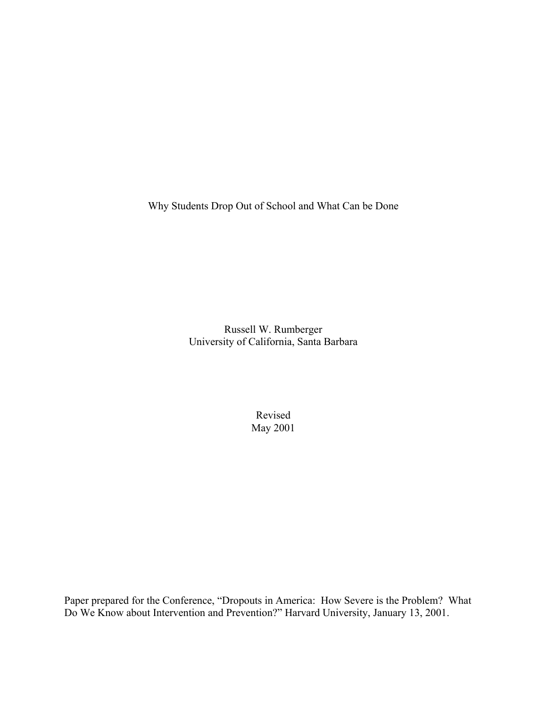Why Students Drop Out of School and What Can be Done

Russell W. Rumberger University of California, Santa Barbara

> Revised May 2001

Paper prepared for the Conference, "Dropouts in America: How Severe is the Problem? What Do We Know about Intervention and Prevention?" Harvard University, January 13, 2001.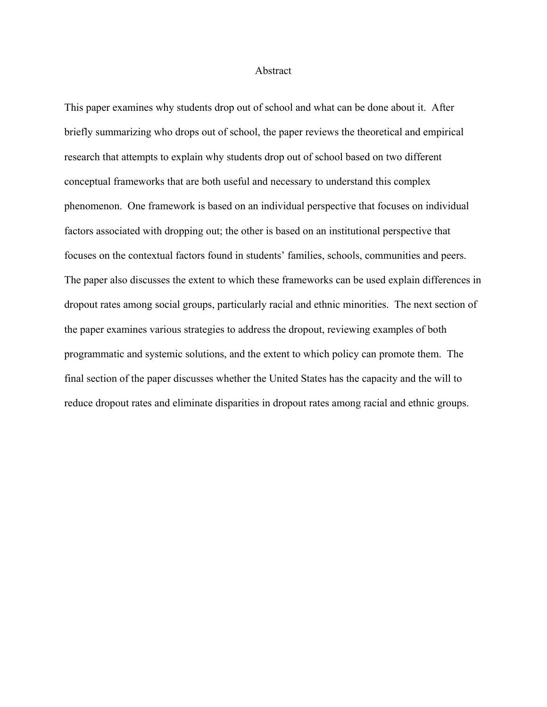## Abstract

This paper examines why students drop out of school and what can be done about it. After briefly summarizing who drops out of school, the paper reviews the theoretical and empirical research that attempts to explain why students drop out of school based on two different conceptual frameworks that are both useful and necessary to understand this complex phenomenon. One framework is based on an individual perspective that focuses on individual factors associated with dropping out; the other is based on an institutional perspective that focuses on the contextual factors found in students' families, schools, communities and peers. The paper also discusses the extent to which these frameworks can be used explain differences in dropout rates among social groups, particularly racial and ethnic minorities. The next section of the paper examines various strategies to address the dropout, reviewing examples of both programmatic and systemic solutions, and the extent to which policy can promote them. The final section of the paper discusses whether the United States has the capacity and the will to reduce dropout rates and eliminate disparities in dropout rates among racial and ethnic groups.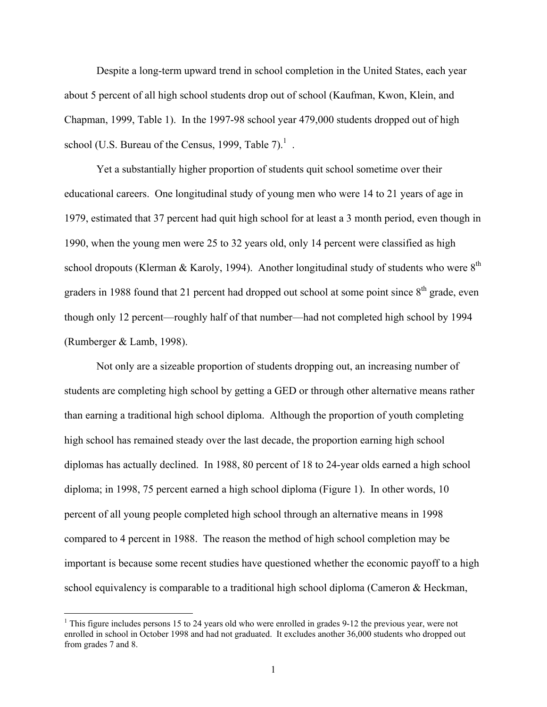Despite a long-term upward trend in school completion in the United States, each year about 5 percent of all high school students drop out of school (Kaufman, Kwon, Klein, and Chapman, 1999, Table 1). In the 1997-98 school year 479,000 students dropped out of high school (U.S. Bureau of the Census, [1](#page-2-0)999, Table  $7$ ).<sup>1</sup>.

Yet a substantially higher proportion of students quit school sometime over their educational careers. One longitudinal study of young men who were 14 to 21 years of age in 1979, estimated that 37 percent had quit high school for at least a 3 month period, even though in 1990, when the young men were 25 to 32 years old, only 14 percent were classified as high school dropouts (Klerman & Karoly, 1994). Another longitudinal study of students who were  $8<sup>th</sup>$ graders in 1988 found that 21 percent had dropped out school at some point since  $8<sup>th</sup>$  grade, even though only 12 percent—roughly half of that number—had not completed high school by 1994 (Rumberger & Lamb, 1998).

Not only are a sizeable proportion of students dropping out, an increasing number of students are completing high school by getting a GED or through other alternative means rather than earning a traditional high school diploma. Although the proportion of youth completing high school has remained steady over the last decade, the proportion earning high school diplomas has actually declined. In 1988, 80 percent of 18 to 24-year olds earned a high school diploma; in 1998, 75 percent earned a high school diploma (Figure 1). In other words, 10 percent of all young people completed high school through an alternative means in 1998 compared to 4 percent in 1988. The reason the method of high school completion may be important is because some recent studies have questioned whether the economic payoff to a high school equivalency is comparable to a traditional high school diploma (Cameron & Heckman,

<span id="page-2-0"></span><sup>&</sup>lt;sup>1</sup> This figure includes persons 15 to 24 years old who were enrolled in grades 9-12 the previous year, were not enrolled in school in October 1998 and had not graduated. It excludes another 36,000 students who dropped out from grades 7 and 8.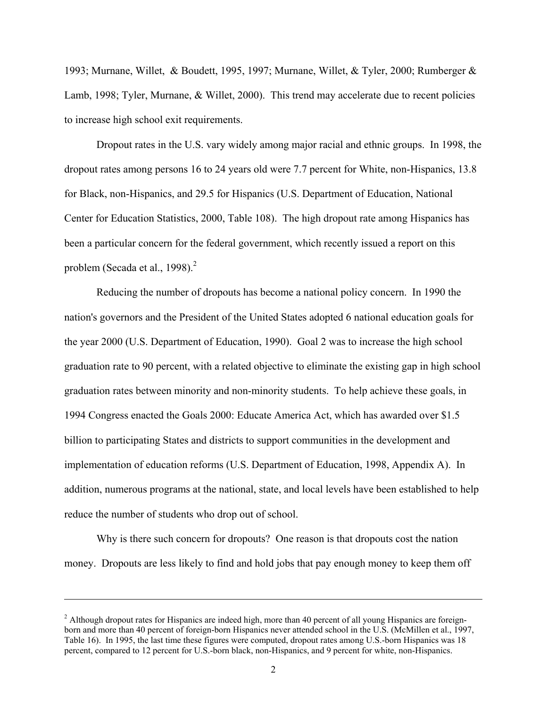1993; Murnane, Willet, & Boudett, 1995, 1997; Murnane, Willet, & Tyler, 2000; Rumberger & Lamb, 1998; Tyler, Murnane, & Willet, 2000). This trend may accelerate due to recent policies to increase high school exit requirements.

 Dropout rates in the U.S. vary widely among major racial and ethnic groups. In 1998, the dropout rates among persons 16 to 24 years old were 7.7 percent for White, non-Hispanics, 13.8 for Black, non-Hispanics, and 29.5 for Hispanics (U.S. Department of Education, National Center for Education Statistics, 2000, Table 108). The high dropout rate among Hispanics has been a particular concern for the federal government, which recently issued a report on this problem (Secada et al., 1998). $<sup>2</sup>$ </sup>

Reducing the number of dropouts has become a national policy concern. In 1990 the nation's governors and the President of the United States adopted 6 national education goals for the year 2000 (U.S. Department of Education, 1990). Goal 2 was to increase the high school graduation rate to 90 percent, with a related objective to eliminate the existing gap in high school graduation rates between minority and non-minority students. To help achieve these goals, in 1994 Congress enacted the Goals 2000: Educate America Act, which has awarded over \$1.5 billion to participating States and districts to support communities in the development and implementation of education reforms (U.S. Department of Education, 1998, Appendix A). In addition, numerous programs at the national, state, and local levels have been established to help reduce the number of students who drop out of school.

Why is there such concern for dropouts? One reason is that dropouts cost the nation money. Dropouts are less likely to find and hold jobs that pay enough money to keep them off

 $\overline{a}$ 

<span id="page-3-0"></span> $2$  Although dropout rates for Hispanics are indeed high, more than 40 percent of all young Hispanics are foreignborn and more than 40 percent of foreign-born Hispanics never attended school in the U.S. (McMillen et al., 1997, Table 16). In 1995, the last time these figures were computed, dropout rates among U.S.-born Hispanics was 18 percent, compared to 12 percent for U.S.-born black, non-Hispanics, and 9 percent for white, non-Hispanics.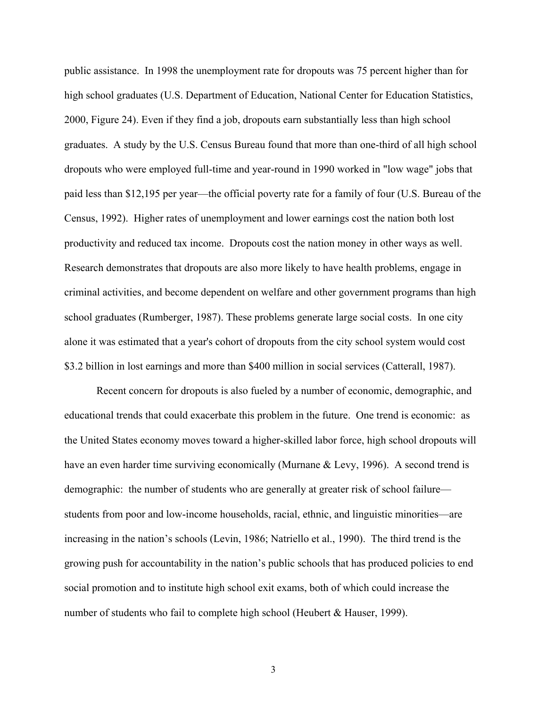public assistance. In 1998 the unemployment rate for dropouts was 75 percent higher than for high school graduates (U.S. Department of Education, National Center for Education Statistics, 2000, Figure 24). Even if they find a job, dropouts earn substantially less than high school graduates. A study by the U.S. Census Bureau found that more than one-third of all high school dropouts who were employed full-time and year-round in 1990 worked in "low wage" jobs that paid less than \$12,195 per year—the official poverty rate for a family of four (U.S. Bureau of the Census, 1992). Higher rates of unemployment and lower earnings cost the nation both lost productivity and reduced tax income. Dropouts cost the nation money in other ways as well. Research demonstrates that dropouts are also more likely to have health problems, engage in criminal activities, and become dependent on welfare and other government programs than high school graduates (Rumberger, 1987). These problems generate large social costs. In one city alone it was estimated that a year's cohort of dropouts from the city school system would cost \$3.2 billion in lost earnings and more than \$400 million in social services (Catterall, 1987).

Recent concern for dropouts is also fueled by a number of economic, demographic, and educational trends that could exacerbate this problem in the future. One trend is economic: as the United States economy moves toward a higher-skilled labor force, high school dropouts will have an even harder time surviving economically (Murnane & Levy, 1996). A second trend is demographic: the number of students who are generally at greater risk of school failure students from poor and low-income households, racial, ethnic, and linguistic minorities—are increasing in the nation's schools (Levin, 1986; Natriello et al., 1990). The third trend is the growing push for accountability in the nation's public schools that has produced policies to end social promotion and to institute high school exit exams, both of which could increase the number of students who fail to complete high school (Heubert & Hauser, 1999).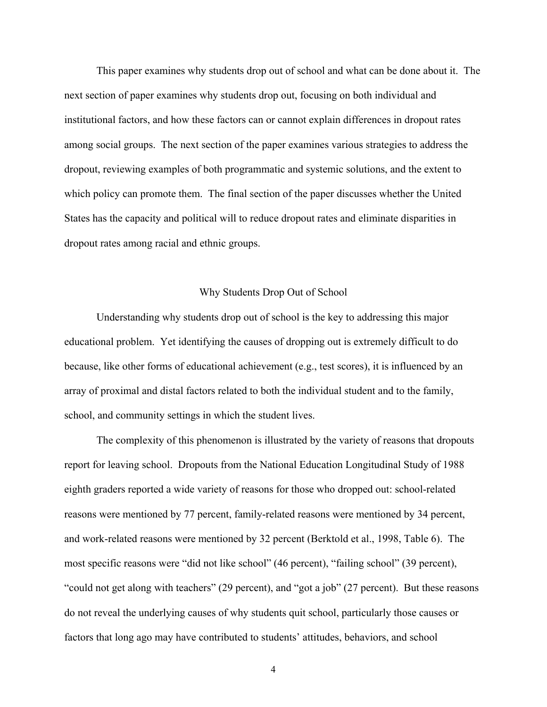This paper examines why students drop out of school and what can be done about it. The next section of paper examines why students drop out, focusing on both individual and institutional factors, and how these factors can or cannot explain differences in dropout rates among social groups. The next section of the paper examines various strategies to address the dropout, reviewing examples of both programmatic and systemic solutions, and the extent to which policy can promote them. The final section of the paper discusses whether the United States has the capacity and political will to reduce dropout rates and eliminate disparities in dropout rates among racial and ethnic groups.

## Why Students Drop Out of School

Understanding why students drop out of school is the key to addressing this major educational problem. Yet identifying the causes of dropping out is extremely difficult to do because, like other forms of educational achievement (e.g., test scores), it is influenced by an array of proximal and distal factors related to both the individual student and to the family, school, and community settings in which the student lives.

The complexity of this phenomenon is illustrated by the variety of reasons that dropouts report for leaving school. Dropouts from the National Education Longitudinal Study of 1988 eighth graders reported a wide variety of reasons for those who dropped out: school-related reasons were mentioned by 77 percent, family-related reasons were mentioned by 34 percent, and work-related reasons were mentioned by 32 percent (Berktold et al., 1998, Table 6). The most specific reasons were "did not like school" (46 percent), "failing school" (39 percent), "could not get along with teachers" (29 percent), and "got a job" (27 percent). But these reasons do not reveal the underlying causes of why students quit school, particularly those causes or factors that long ago may have contributed to students' attitudes, behaviors, and school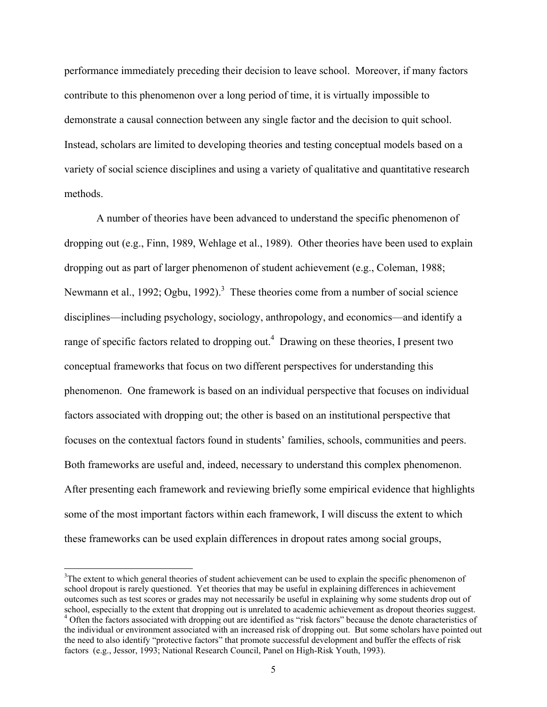performance immediately preceding their decision to leave school. Moreover, if many factors contribute to this phenomenon over a long period of time, it is virtually impossible to demonstrate a causal connection between any single factor and the decision to quit school. Instead, scholars are limited to developing theories and testing conceptual models based on a variety of social science disciplines and using a variety of qualitative and quantitative research methods.

A number of theories have been advanced to understand the specific phenomenon of dropping out (e.g., Finn, 1989, Wehlage et al., 1989). Other theories have been used to explain dropping out as part of larger phenomenon of student achievement (e.g., Coleman, 1988; Newmann et al., 1992; Ogbu, 1992).<sup>[3](#page-6-0)</sup> These theories come from a number of social science disciplines—including psychology, sociology, anthropology, and economics—and identify a range of specific factors related to dropping out.<sup>4</sup> Drawing on these theories, I present two conceptual frameworks that focus on two different perspectives for understanding this phenomenon. One framework is based on an individual perspective that focuses on individual factors associated with dropping out; the other is based on an institutional perspective that focuses on the contextual factors found in students' families, schools, communities and peers. Both frameworks are useful and, indeed, necessary to understand this complex phenomenon. After presenting each framework and reviewing briefly some empirical evidence that highlights some of the most important factors within each framework, I will discuss the extent to which these frameworks can be used explain differences in dropout rates among social groups,

<u>.</u>

<span id="page-6-1"></span><span id="page-6-0"></span><sup>&</sup>lt;sup>3</sup>The extent to which general theories of student achievement can be used to explain the specific phenomenon of school dropout is rarely questioned. Yet theories that may be useful in explaining differences in achievement outcomes such as test scores or grades may not necessarily be useful in explaining why some students drop out of school, especially to the extent that dropping out is unrelated to academic achievement as dropout theories suggest.  $\frac{4}{1}$  Often the factors associated with dropping out are identified as "risk factors" because the denote characteristics of the individual or environment associated with an increased risk of dropping out. But some scholars have pointed out the need to also identify "protective factors" that promote successful development and buffer the effects of risk factors (e.g., Jessor, 1993; National Research Council, Panel on High-Risk Youth, 1993).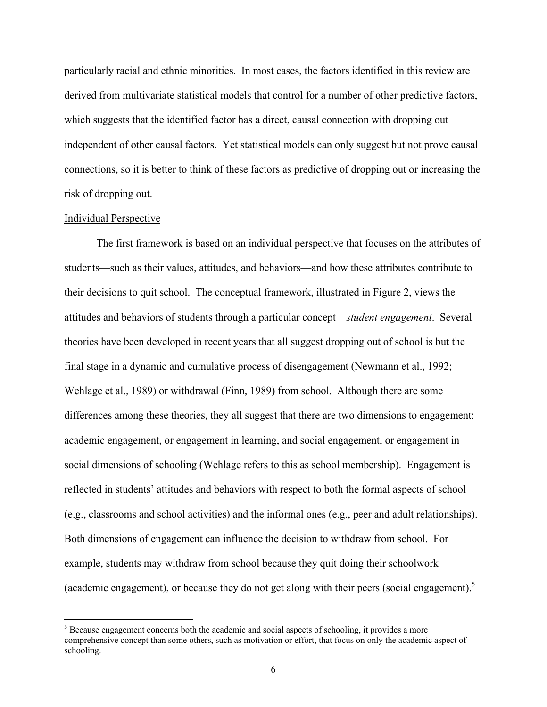particularly racial and ethnic minorities. In most cases, the factors identified in this review are derived from multivariate statistical models that control for a number of other predictive factors, which suggests that the identified factor has a direct, causal connection with dropping out independent of other causal factors. Yet statistical models can only suggest but not prove causal connections, so it is better to think of these factors as predictive of dropping out or increasing the risk of dropping out.

## Individual Perspective

The first framework is based on an individual perspective that focuses on the attributes of students—such as their values, attitudes, and behaviors—and how these attributes contribute to their decisions to quit school. The conceptual framework, illustrated in Figure 2, views the attitudes and behaviors of students through a particular concept—student engagement. Several theories have been developed in recent years that all suggest dropping out of school is but the final stage in a dynamic and cumulative process of disengagement (Newmann et al., 1992; Wehlage et al., 1989) or withdrawal (Finn, 1989) from school. Although there are some differences among these theories, they all suggest that there are two dimensions to engagement: academic engagement, or engagement in learning, and social engagement, or engagement in social dimensions of schooling (Wehlage refers to this as school membership). Engagement is reflected in students' attitudes and behaviors with respect to both the formal aspects of school (e.g., classrooms and school activities) and the informal ones (e.g., peer and adult relationships). Both dimensions of engagement can influence the decision to withdraw from school. For example, students may withdraw from school because they quit doing their schoolwork (academic engagement), or because they do not get along with their peers (social engagement).<sup>5</sup>

<span id="page-7-0"></span><sup>&</sup>lt;sup>5</sup> Because engagement concerns both the academic and social aspects of schooling, it provides a more comprehensive concept than some others, such as motivation or effort, that focus on only the academic aspect of schooling.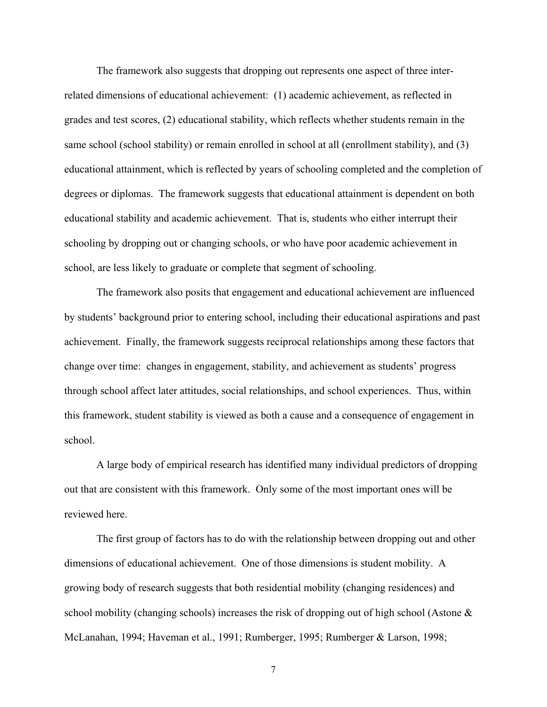The framework also suggests that dropping out represents one aspect of three interrelated dimensions of educational achievement: (1) academic achievement, as reflected in grades and test scores, (2) educational stability, which reflects whether students remain in the same school (school stability) or remain enrolled in school at all (enrollment stability), and (3) educational attainment, which is reflected by years of schooling completed and the completion of degrees or diplomas. The framework suggests that educational attainment is dependent on both educational stability and academic achievement. That is, students who either interrupt their schooling by dropping out or changing schools, or who have poor academic achievement in school, are less likely to graduate or complete that segment of schooling.

The framework also posits that engagement and educational achievement are influenced by students' background prior to entering school, including their educational aspirations and past achievement. Finally, the framework suggests reciprocal relationships among these factors that change over time: changes in engagement, stability, and achievement as students' progress through school affect later attitudes, social relationships, and school experiences. Thus, within this framework, student stability is viewed as both a cause and a consequence of engagement in school.

A large body of empirical research has identified many individual predictors of dropping out that are consistent with this framework. Only some of the most important ones will be reviewed here.

The first group of factors has to do with the relationship between dropping out and other dimensions of educational achievement. One of those dimensions is student mobility. A growing body of research suggests that both residential mobility (changing residences) and school mobility (changing schools) increases the risk of dropping out of high school (Astone  $\&$ McLanahan, 1994; Haveman et al., 1991; Rumberger, 1995; Rumberger & Larson, 1998;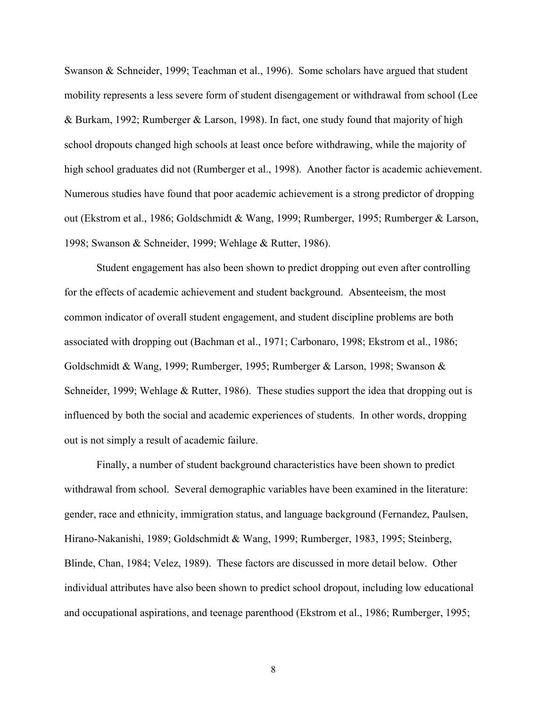Swanson & Schneider, 1999; Teachman et al., 1996). Some scholars have argued that student mobility represents a less severe form of student disengagement or withdrawal from school (Lee & Burkam, 1992; Rumberger & Larson, 1998). In fact, one study found that majority of high school dropouts changed high schools at least once before withdrawing, while the majority of high school graduates did not (Rumberger et al., 1998). Another factor is academic achievement. Numerous studies have found that poor academic achievement is a strong predictor of dropping out (Ekstrom et al., 1986; Goldschmidt & Wang, 1999; Rumberger, 1995; Rumberger & Larson, 1998; Swanson & Schneider, 1999; Wehlage & Rutter, 1986).

Student engagement has also been shown to predict dropping out even after controlling for the effects of academic achievement and student background. Absenteeism, the most common indicator of overall student engagement, and student discipline problems are both associated with dropping out (Bachman et al., 1971; Carbonaro, 1998; Ekstrom et al., 1986; Goldschmidt & Wang, 1999; Rumberger, 1995; Rumberger & Larson, 1998; Swanson & Schneider, 1999; Wehlage & Rutter, 1986). These studies support the idea that dropping out is influenced by both the social and academic experiences of students. In other words, dropping out is not simply a result of academic failure.

Finally, a number of student background characteristics have been shown to predict withdrawal from school. Several demographic variables have been examined in the literature: gender, race and ethnicity, immigration status, and language background (Fernandez, Paulsen, Hirano-Nakanishi, 1989; Goldschmidt & Wang, 1999; Rumberger, 1983, 1995; Steinberg, Blinde, Chan, 1984; Velez, 1989). These factors are discussed in more detail below. Other individual attributes have also been shown to predict school dropout, including low educational and occupational aspirations, and teenage parenthood (Ekstrom et al., 1986; Rumberger, 1995;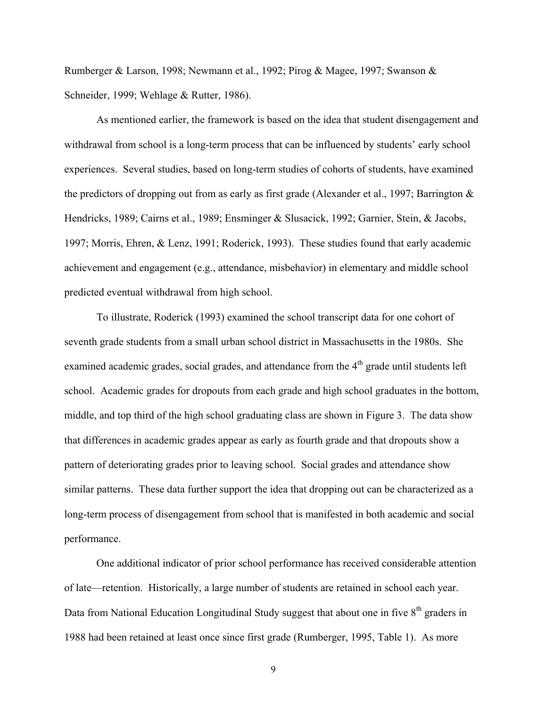Rumberger & Larson, 1998; Newmann et al., 1992; Pirog & Magee, 1997; Swanson & Schneider, 1999; Wehlage & Rutter, 1986).

As mentioned earlier, the framework is based on the idea that student disengagement and withdrawal from school is a long-term process that can be influenced by students' early school experiences. Several studies, based on long-term studies of cohorts of students, have examined the predictors of dropping out from as early as first grade (Alexander et al., 1997; Barrington  $\&$ Hendricks, 1989; Cairns et al., 1989; Ensminger & Slusacick, 1992; Garnier, Stein, & Jacobs, 1997; Morris, Ehren, & Lenz, 1991; Roderick, 1993). These studies found that early academic achievement and engagement (e.g., attendance, misbehavior) in elementary and middle school predicted eventual withdrawal from high school.

To illustrate, Roderick (1993) examined the school transcript data for one cohort of seventh grade students from a small urban school district in Massachusetts in the 1980s. She examined academic grades, social grades, and attendance from the 4<sup>th</sup> grade until students left school. Academic grades for dropouts from each grade and high school graduates in the bottom, middle, and top third of the high school graduating class are shown in Figure 3. The data show that differences in academic grades appear as early as fourth grade and that dropouts show a pattern of deteriorating grades prior to leaving school. Social grades and attendance show similar patterns. These data further support the idea that dropping out can be characterized as a long-term process of disengagement from school that is manifested in both academic and social performance.

One additional indicator of prior school performance has received considerable attention of late—retention. Historically, a large number of students are retained in school each year. Data from National Education Longitudinal Study suggest that about one in five 8<sup>th</sup> graders in 1988 had been retained at least once since first grade (Rumberger, 1995, Table 1). As more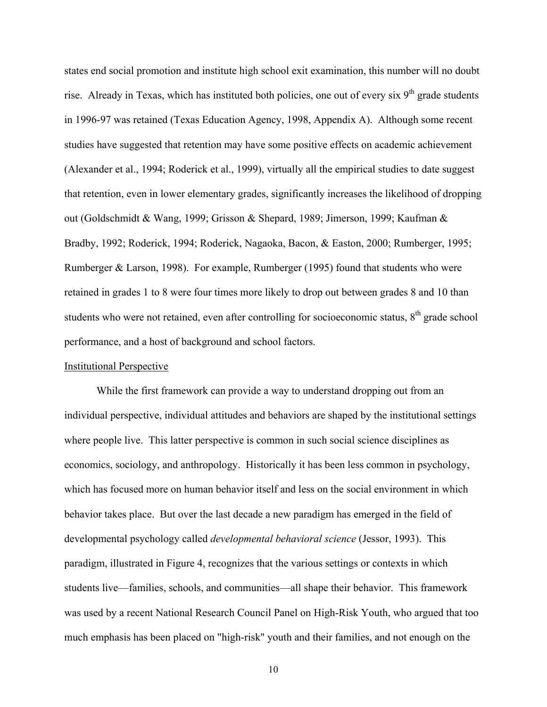states end social promotion and institute high school exit examination, this number will no doubt rise. Already in Texas, which has instituted both policies, one out of every six  $9<sup>th</sup>$  grade students in 1996-97 was retained (Texas Education Agency, 1998, Appendix A). Although some recent studies have suggested that retention may have some positive effects on academic achievement (Alexander et al., 1994; Roderick et al., 1999), virtually all the empirical studies to date suggest that retention, even in lower elementary grades, significantly increases the likelihood of dropping out (Goldschmidt & Wang, 1999; Grisson & Shepard, 1989; Jimerson, 1999; Kaufman & Bradby, 1992; Roderick, 1994; Roderick, Nagaoka, Bacon, & Easton, 2000; Rumberger, 1995; Rumberger & Larson, 1998). For example, Rumberger (1995) found that students who were retained in grades 1 to 8 were four times more likely to drop out between grades 8 and 10 than students who were not retained, even after controlling for socioeconomic status, 8<sup>th</sup> grade school performance, and a host of background and school factors.

## Institutional Perspective

While the first framework can provide a way to understand dropping out from an individual perspective, individual attitudes and behaviors are shaped by the institutional settings where people live. This latter perspective is common in such social science disciplines as economics, sociology, and anthropology. Historically it has been less common in psychology, which has focused more on human behavior itself and less on the social environment in which behavior takes place. But over the last decade a new paradigm has emerged in the field of developmental psychology called *developmental behavioral science* (Jessor, 1993). This paradigm, illustrated in Figure 4, recognizes that the various settings or contexts in which students live—families, schools, and communities—all shape their behavior. This framework was used by a recent National Research Council Panel on High-Risk Youth, who argued that too much emphasis has been placed on "high-risk" youth and their families, and not enough on the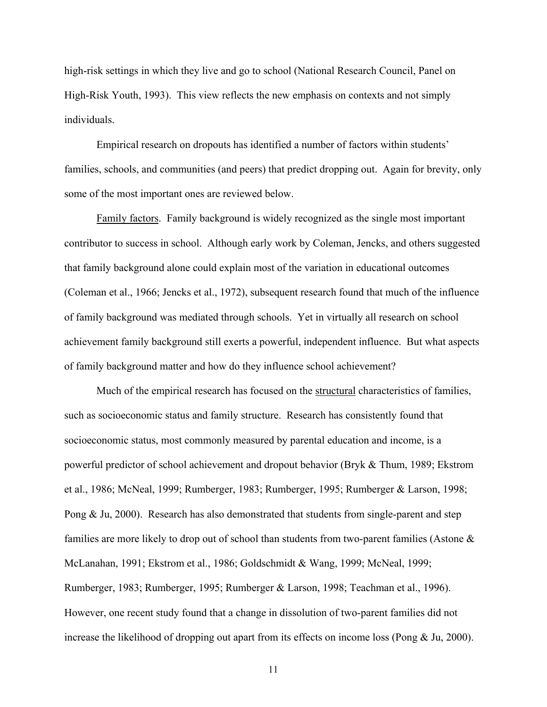high-risk settings in which they live and go to school (National Research Council, Panel on High-Risk Youth, 1993). This view reflects the new emphasis on contexts and not simply individuals.

Empirical research on dropouts has identified a number of factors within students' families, schools, and communities (and peers) that predict dropping out. Again for brevity, only some of the most important ones are reviewed below.

Family factors. Family background is widely recognized as the single most important contributor to success in school. Although early work by Coleman, Jencks, and others suggested that family background alone could explain most of the variation in educational outcomes (Coleman et al., 1966; Jencks et al., 1972), subsequent research found that much of the influence of family background was mediated through schools. Yet in virtually all research on school achievement family background still exerts a powerful, independent influence. But what aspects of family background matter and how do they influence school achievement?

Much of the empirical research has focused on the structural characteristics of families, such as socioeconomic status and family structure. Research has consistently found that socioeconomic status, most commonly measured by parental education and income, is a powerful predictor of school achievement and dropout behavior (Bryk & Thum, 1989; Ekstrom et al., 1986; McNeal, 1999; Rumberger, 1983; Rumberger, 1995; Rumberger & Larson, 1998; Pong & Ju, 2000). Research has also demonstrated that students from single-parent and step families are more likely to drop out of school than students from two-parent families (Astone & McLanahan, 1991; Ekstrom et al., 1986; Goldschmidt & Wang, 1999; McNeal, 1999; Rumberger, 1983; Rumberger, 1995; Rumberger & Larson, 1998; Teachman et al., 1996). However, one recent study found that a change in dissolution of two-parent families did not increase the likelihood of dropping out apart from its effects on income loss (Pong & Ju, 2000).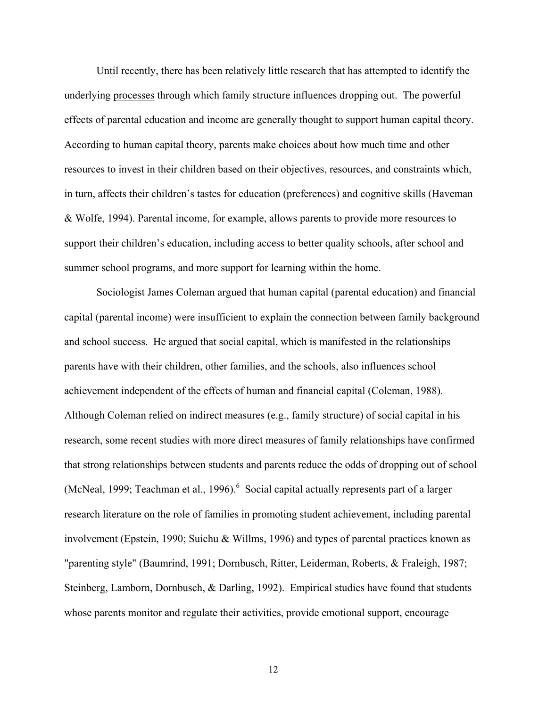<span id="page-13-0"></span>Until recently, there has been relatively little research that has attempted to identify the underlying processes through which family structure influences dropping out. The powerful effects of parental education and income are generally thought to support human capital theory. According to human capital theory, parents make choices about how much time and other resources to invest in their children based on their objectives, resources, and constraints which, in turn, affects their children's tastes for education (preferences) and cognitive skills (Haveman & Wolfe, 1994). Parental income, for example, allows parents to provide more resources to support their children's education, including access to better quality schools, after school and summer school programs, and more support for learning within the home.

Sociologist James Coleman argued that human capital (parental education) and financial capital (parental income) were insufficient to explain the connection between family background and school success. He argued that social capital, which is manifested in the relationships parents have with their children, other families, and the schools, also influences school achievement independent of the effects of human and financial capital (Coleman, 1988). Although Coleman relied on indirect measures (e.g., family structure) of social capital in his research, some recent studies with more direct measures of family relationships have confirmed that strong relationships between students and parents reduce the odds of dropping out of school (McNeal, 1999; Teachman et al., 1996). $<sup>6</sup>$  Social capital actually represents part of a larger</sup> research literature on the role of families in promoting student achievement, including parental involvement (Epstein, 1990; Suichu & Willms, 1996) and types of parental practices known as "parenting style" (Baumrind, 1991; Dornbusch, Ritter, Leiderman, Roberts, & Fraleigh, 1987; Steinberg, Lamborn, Dornbusch, & Darling, 1992). Empirical studies have found that students whose parents monitor and regulate their activities, provide emotional support, encourage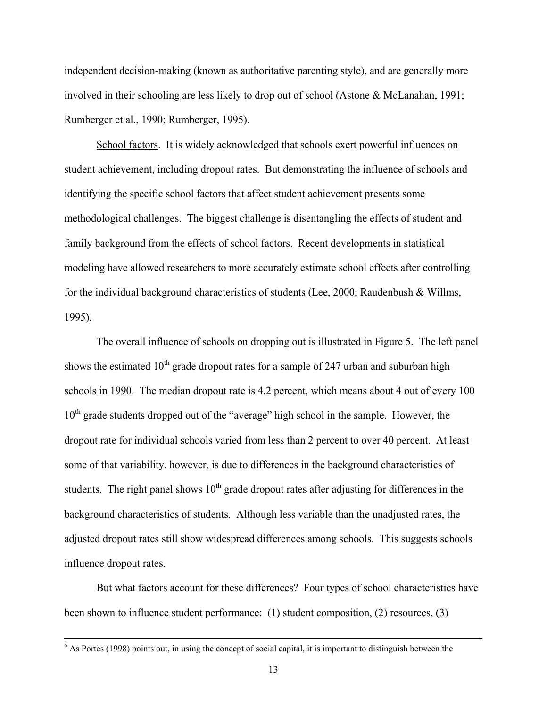independent decision-making (known as authoritative parenting style), and are generally more involved in their schooling are less likely to drop out of school (Astone & McLanahan, 1991; Rumberger et al., 1990; Rumberger, 1995).

School factors. It is widely acknowledged that schools exert powerful influences on student achievement, including dropout rates. But demonstrating the influence of schools and identifying the specific school factors that affect student achievement presents some methodological challenges. The biggest challenge is disentangling the effects of student and family background from the effects of school factors. Recent developments in statistical modeling have allowed researchers to more accurately estimate school effects after controlling for the individual background characteristics of students (Lee, 2000; Raudenbush & Willms, 1995).

The overall influence of schools on dropping out is illustrated in Figure 5. The left panel shows the estimated  $10^{th}$  grade dropout rates for a sample of 247 urban and suburban high schools in 1990. The median dropout rate is 4.2 percent, which means about 4 out of every 100  $10<sup>th</sup>$  grade students dropped out of the "average" high school in the sample. However, the dropout rate for individual schools varied from less than 2 percent to over 40 percent. At least some of that variability, however, is due to differences in the background characteristics of students. The right panel shows  $10<sup>th</sup>$  grade dropout rates after adjusting for differences in the background characteristics of students. Although less variable than the unadjusted rates, the adjusted dropout rates still show widespread differences among schools. This suggests schools influence dropout rates.

But what factors account for these differences? Four types of school characteristics have been shown to influence student performance: (1) student composition, (2) resources, (3)

 $6$  As Portes (1998) points out, in using the concept of social capital, it is important to distinguish between the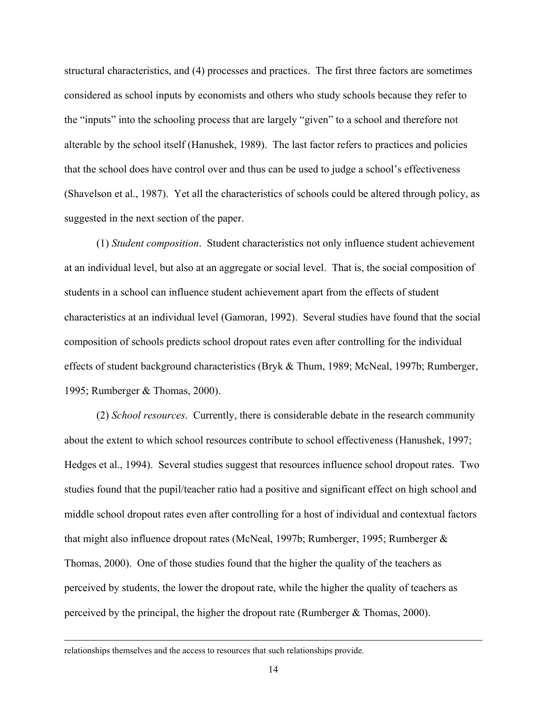structural characteristics, and (4) processes and practices. The first three factors are sometimes considered as school inputs by economists and others who study schools because they refer to the "inputs" into the schooling process that are largely "given" to a school and therefore not alterable by the school itself (Hanushek, 1989). The last factor refers to practices and policies that the school does have control over and thus can be used to judge a school's effectiveness (Shavelson et al., 1987). Yet all the characteristics of schools could be altered through policy, as suggested in the next section of the paper.

 (1) *Student composition*. Student characteristics not only influence student achievement at an individual level, but also at an aggregate or social level. That is, the social composition of students in a school can influence student achievement apart from the effects of student characteristics at an individual level (Gamoran, 1992). Several studies have found that the social composition of schools predicts school dropout rates even after controlling for the individual effects of student background characteristics (Bryk & Thum, 1989; McNeal, 1997b; Rumberger, 1995; Rumberger & Thomas, 2000).

(2) *School resources*. Currently, there is considerable debate in the research community about the extent to which school resources contribute to school effectiveness (Hanushek, 1997; Hedges et al., 1994). Several studies suggest that resources influence school dropout rates. Two studies found that the pupil/teacher ratio had a positive and significant effect on high school and middle school dropout rates even after controlling for a host of individual and contextual factors that might also influence dropout rates (McNeal, 1997b; Rumberger, 1995; Rumberger & Thomas, 2000). One of those studies found that the higher the quality of the teachers as perceived by students, the lower the dropout rate, while the higher the quality of teachers as perceived by the principal, the higher the dropout rate (Rumberger & Thomas, 2000).

relationships themselves and the access to resources that such relationships provide.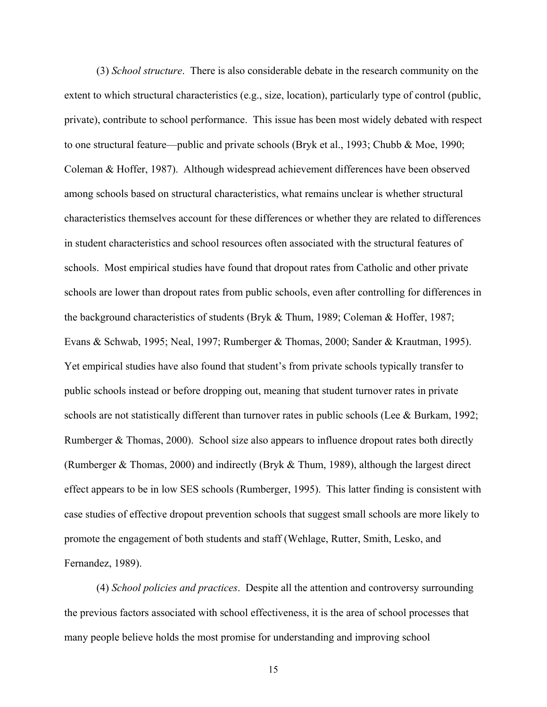(3) *School structure*. There is also considerable debate in the research community on the extent to which structural characteristics (e.g., size, location), particularly type of control (public, private), contribute to school performance. This issue has been most widely debated with respect to one structural feature—public and private schools (Bryk et al., 1993; Chubb & Moe, 1990; Coleman & Hoffer, 1987). Although widespread achievement differences have been observed among schools based on structural characteristics, what remains unclear is whether structural characteristics themselves account for these differences or whether they are related to differences in student characteristics and school resources often associated with the structural features of schools. Most empirical studies have found that dropout rates from Catholic and other private schools are lower than dropout rates from public schools, even after controlling for differences in the background characteristics of students (Bryk & Thum, 1989; Coleman & Hoffer, 1987; Evans & Schwab, 1995; Neal, 1997; Rumberger & Thomas, 2000; Sander & Krautman, 1995). Yet empirical studies have also found that student's from private schools typically transfer to public schools instead or before dropping out, meaning that student turnover rates in private schools are not statistically different than turnover rates in public schools (Lee & Burkam, 1992; Rumberger & Thomas, 2000). School size also appears to influence dropout rates both directly (Rumberger & Thomas, 2000) and indirectly (Bryk & Thum, 1989), although the largest direct effect appears to be in low SES schools (Rumberger, 1995). This latter finding is consistent with case studies of effective dropout prevention schools that suggest small schools are more likely to promote the engagement of both students and staff (Wehlage, Rutter, Smith, Lesko, and Fernandez, 1989).

(4) *School policies and practices*. Despite all the attention and controversy surrounding the previous factors associated with school effectiveness, it is the area of school processes that many people believe holds the most promise for understanding and improving school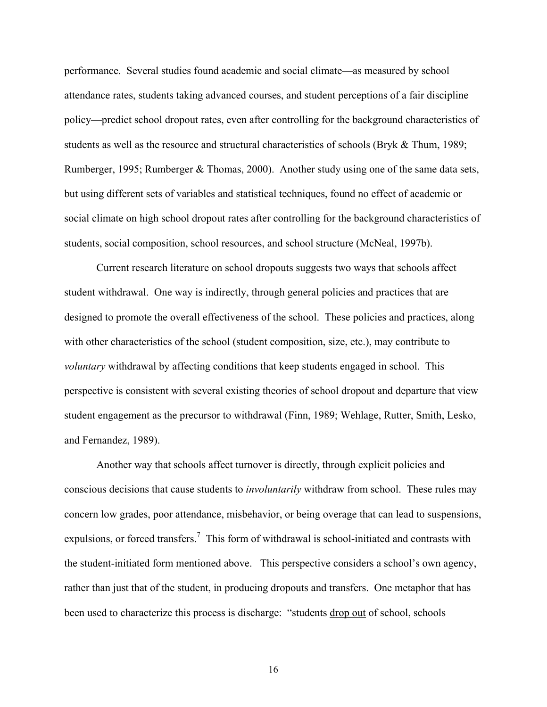<span id="page-17-0"></span>performance. Several studies found academic and social climate—as measured by school attendance rates, students taking advanced courses, and student perceptions of a fair discipline policy—predict school dropout rates, even after controlling for the background characteristics of students as well as the resource and structural characteristics of schools (Bryk & Thum, 1989; Rumberger, 1995; Rumberger & Thomas, 2000). Another study using one of the same data sets, but using different sets of variables and statistical techniques, found no effect of academic or social climate on high school dropout rates after controlling for the background characteristics of students, social composition, school resources, and school structure (McNeal, 1997b).

Current research literature on school dropouts suggests two ways that schools affect student withdrawal. One way is indirectly, through general policies and practices that are designed to promote the overall effectiveness of the school. These policies and practices, along with other characteristics of the school (student composition, size, etc.), may contribute to *voluntary* withdrawal by affecting conditions that keep students engaged in school. This perspective is consistent with several existing theories of school dropout and departure that view student engagement as the precursor to withdrawal (Finn, 1989; Wehlage, Rutter, Smith, Lesko, and Fernandez, 1989).

Another way that schools affect turnover is directly, through explicit policies and conscious decisions that cause students to *involuntarily* withdraw from school. These rules may concern low grades, poor attendance, misbehavior, or being overage that can lead to suspensions, expulsions, or forced transfers.<sup>7</sup> This form of withdrawal is school-initiated and contrasts with the student-initiated form mentioned above. This perspective considers a school's own agency, rather than just that of the student, in producing dropouts and transfers. One metaphor that has been used to characterize this process is discharge: "students drop out of school, schools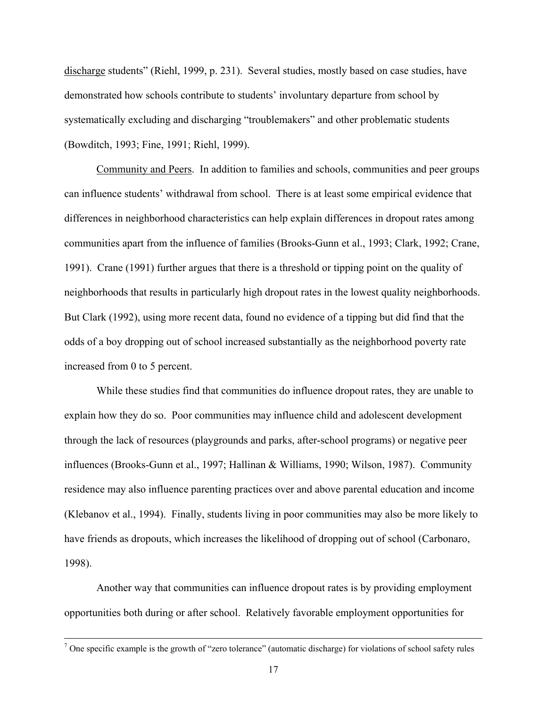discharge students" (Riehl, 1999, p. 231). Several studies, mostly based on case studies, have demonstrated how schools contribute to students' involuntary departure from school by systematically excluding and discharging "troublemakers" and other problematic students (Bowditch, 1993; Fine, 1991; Riehl, 1999).

Community and Peers. In addition to families and schools, communities and peer groups can influence students' withdrawal from school. There is at least some empirical evidence that differences in neighborhood characteristics can help explain differences in dropout rates among communities apart from the influence of families (Brooks-Gunn et al., 1993; Clark, 1992; Crane, 1991). Crane (1991) further argues that there is a threshold or tipping point on the quality of neighborhoods that results in particularly high dropout rates in the lowest quality neighborhoods. But Clark (1992), using more recent data, found no evidence of a tipping but did find that the odds of a boy dropping out of school increased substantially as the neighborhood poverty rate increased from 0 to 5 percent.

While these studies find that communities do influence dropout rates, they are unable to explain how they do so. Poor communities may influence child and adolescent development through the lack of resources (playgrounds and parks, after-school programs) or negative peer influences (Brooks-Gunn et al., 1997; Hallinan & Williams, 1990; Wilson, 1987). Community residence may also influence parenting practices over and above parental education and income (Klebanov et al., 1994). Finally, students living in poor communities may also be more likely to have friends as dropouts, which increases the likelihood of dropping out of school (Carbonaro, 1998).

Another way that communities can influence dropout rates is by providing employment opportunities both during or after school. Relatively favorable employment opportunities for

 $\frac{1}{7}$ <sup>7</sup> One specific example is the growth of "zero tolerance" (automatic discharge) for violations of school safety rules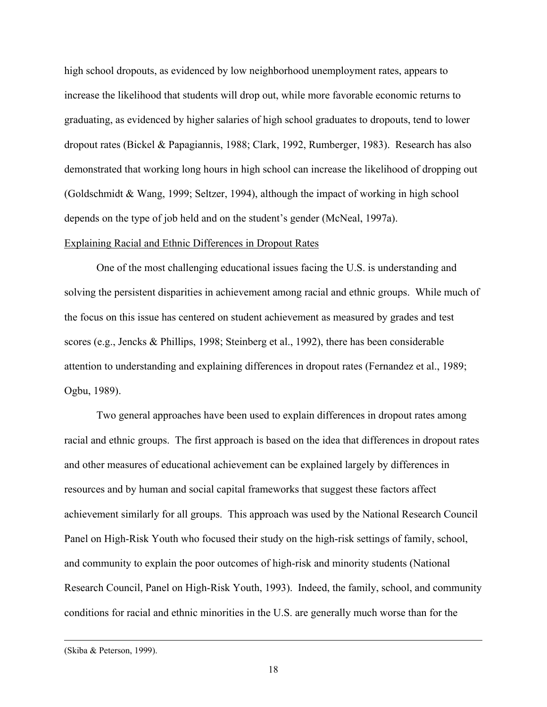high school dropouts, as evidenced by low neighborhood unemployment rates, appears to increase the likelihood that students will drop out, while more favorable economic returns to graduating, as evidenced by higher salaries of high school graduates to dropouts, tend to lower dropout rates (Bickel & Papagiannis, 1988; Clark, 1992, Rumberger, 1983). Research has also demonstrated that working long hours in high school can increase the likelihood of dropping out (Goldschmidt & Wang, 1999; Seltzer, 1994), although the impact of working in high school depends on the type of job held and on the student's gender (McNeal, 1997a).

## Explaining Racial and Ethnic Differences in Dropout Rates

One of the most challenging educational issues facing the U.S. is understanding and solving the persistent disparities in achievement among racial and ethnic groups. While much of the focus on this issue has centered on student achievement as measured by grades and test scores (e.g., Jencks & Phillips, 1998; Steinberg et al., 1992), there has been considerable attention to understanding and explaining differences in dropout rates (Fernandez et al., 1989; Ogbu, 1989).

Two general approaches have been used to explain differences in dropout rates among racial and ethnic groups. The first approach is based on the idea that differences in dropout rates and other measures of educational achievement can be explained largely by differences in resources and by human and social capital frameworks that suggest these factors affect achievement similarly for all groups. This approach was used by the National Research Council Panel on High-Risk Youth who focused their study on the high-risk settings of family, school, and community to explain the poor outcomes of high-risk and minority students (National Research Council, Panel on High-Risk Youth, 1993). Indeed, the family, school, and community conditions for racial and ethnic minorities in the U.S. are generally much worse than for the

 <sup>(</sup>Skiba & Peterson, 1999).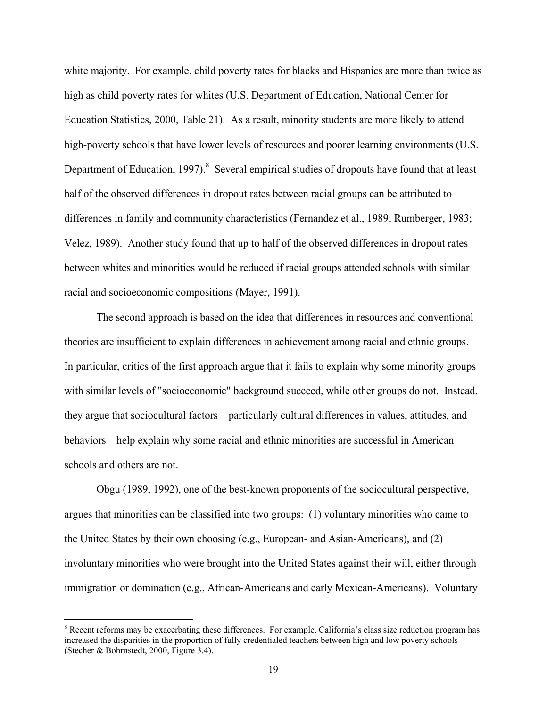white majority. For example, child poverty rates for blacks and Hispanics are more than twice as high as child poverty rates for whites (U.S. Department of Education, National Center for Education Statistics, 2000, Table 21). As a result, minority students are more likely to attend high-poverty schools that have lower levels of resources and poorer learning environments (U.S. Department of Education, 1997).<sup>[8](#page-20-0)</sup> Several empirical studies of dropouts have found that at least half of the observed differences in dropout rates between racial groups can be attributed to differences in family and community characteristics (Fernandez et al., 1989; Rumberger, 1983; Velez, 1989). Another study found that up to half of the observed differences in dropout rates between whites and minorities would be reduced if racial groups attended schools with similar racial and socioeconomic compositions (Mayer, 1991).

The second approach is based on the idea that differences in resources and conventional theories are insufficient to explain differences in achievement among racial and ethnic groups. In particular, critics of the first approach argue that it fails to explain why some minority groups with similar levels of "socioeconomic" background succeed, while other groups do not. Instead, they argue that sociocultural factors—particularly cultural differences in values, attitudes, and behaviors—help explain why some racial and ethnic minorities are successful in American schools and others are not.

Obgu (1989, 1992), one of the best-known proponents of the sociocultural perspective, argues that minorities can be classified into two groups: (1) voluntary minorities who came to the United States by their own choosing (e.g., European- and Asian-Americans), and (2) involuntary minorities who were brought into the United States against their will, either through immigration or domination (e.g., African-Americans and early Mexican-Americans). Voluntary

<span id="page-20-0"></span> $8$  Recent reforms may be exacerbating these differences. For example, California's class size reduction program has increased the disparities in the proportion of fully credentialed teachers between high and low poverty schools (Stecher & Bohrnstedt, 2000, Figure 3.4).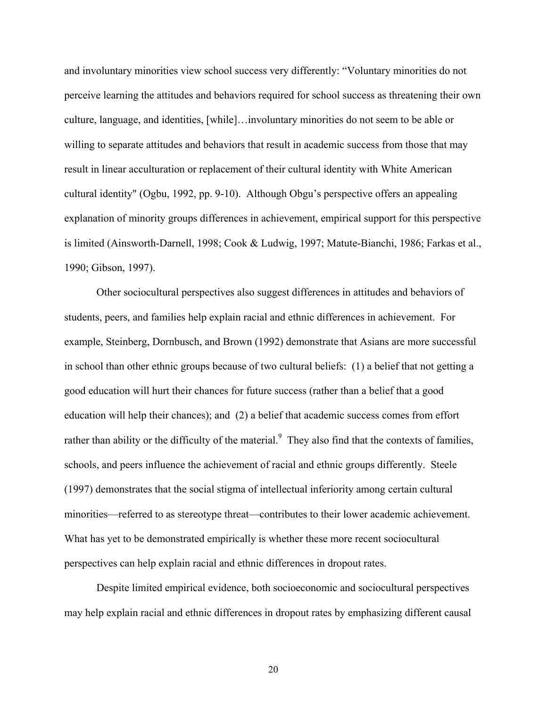<span id="page-21-0"></span>and involuntary minorities view school success very differently: "Voluntary minorities do not perceive learning the attitudes and behaviors required for school success as threatening their own culture, language, and identities, [while]...involuntary minorities do not seem to be able or willing to separate attitudes and behaviors that result in academic success from those that may result in linear acculturation or replacement of their cultural identity with White American cultural identity" (Ogbu, 1992, pp. 9-10). Although Obgu's perspective offers an appealing explanation of minority groups differences in achievement, empirical support for this perspective is limited (Ainsworth-Darnell, 1998; Cook & Ludwig, 1997; Matute-Bianchi, 1986; Farkas et al., 1990; Gibson, 1997).

Other sociocultural perspectives also suggest differences in attitudes and behaviors of students, peers, and families help explain racial and ethnic differences in achievement. For example, Steinberg, Dornbusch, and Brown (1992) demonstrate that Asians are more successful in school than other ethnic groups because of two cultural beliefs: (1) a belief that not getting a good education will hurt their chances for future success (rather than a belief that a good education will help their chances); and (2) a belief that academic success comes from effort rather than ability or the difficulty of the material.<sup>[9](#page-21-0)</sup> They also find that the contexts of families, schools, and peers influence the achievement of racial and ethnic groups differently. Steele (1997) demonstrates that the social stigma of intellectual inferiority among certain cultural minorities—referred to as stereotype threat—contributes to their lower academic achievement. What has yet to be demonstrated empirically is whether these more recent sociocultural perspectives can help explain racial and ethnic differences in dropout rates.

Despite limited empirical evidence, both socioeconomic and sociocultural perspectives may help explain racial and ethnic differences in dropout rates by emphasizing different causal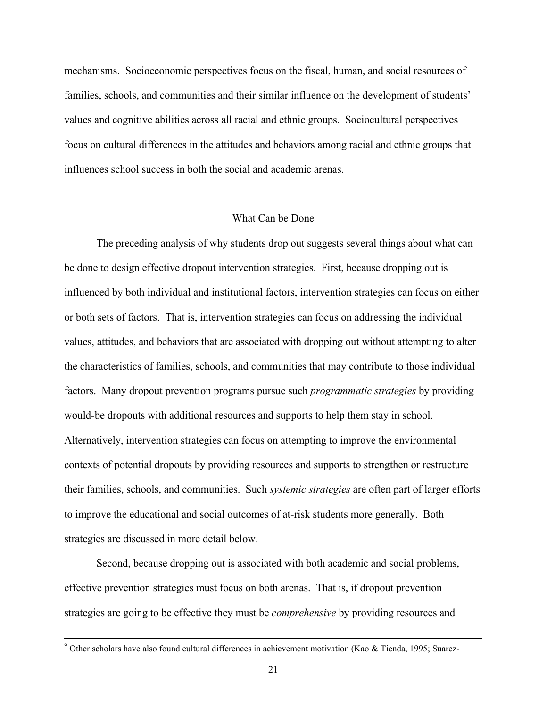mechanisms. Socioeconomic perspectives focus on the fiscal, human, and social resources of families, schools, and communities and their similar influence on the development of students' values and cognitive abilities across all racial and ethnic groups. Sociocultural perspectives focus on cultural differences in the attitudes and behaviors among racial and ethnic groups that influences school success in both the social and academic arenas.

## What Can be Done

The preceding analysis of why students drop out suggests several things about what can be done to design effective dropout intervention strategies. First, because dropping out is influenced by both individual and institutional factors, intervention strategies can focus on either or both sets of factors. That is, intervention strategies can focus on addressing the individual values, attitudes, and behaviors that are associated with dropping out without attempting to alter the characteristics of families, schools, and communities that may contribute to those individual factors. Many dropout prevention programs pursue such *programmatic strategies* by providing would-be dropouts with additional resources and supports to help them stay in school. Alternatively, intervention strategies can focus on attempting to improve the environmental contexts of potential dropouts by providing resources and supports to strengthen or restructure their families, schools, and communities. Such *systemic strategies* are often part of larger efforts to improve the educational and social outcomes of at-risk students more generally. Both strategies are discussed in more detail below.

Second, because dropping out is associated with both academic and social problems, effective prevention strategies must focus on both arenas. That is, if dropout prevention strategies are going to be effective they must be *comprehensive* by providing resources and

<sup>-&</sup>lt;br>9 <sup>9</sup> Other scholars have also found cultural differences in achievement motivation (Kao & Tienda, 1995; Suarez-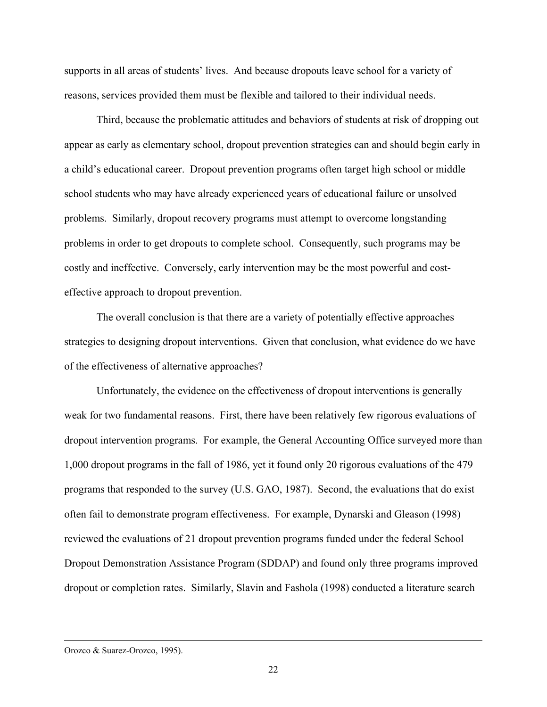supports in all areas of students' lives. And because dropouts leave school for a variety of reasons, services provided them must be flexible and tailored to their individual needs.

Third, because the problematic attitudes and behaviors of students at risk of dropping out appear as early as elementary school, dropout prevention strategies can and should begin early in a child's educational career. Dropout prevention programs often target high school or middle school students who may have already experienced years of educational failure or unsolved problems. Similarly, dropout recovery programs must attempt to overcome longstanding problems in order to get dropouts to complete school. Consequently, such programs may be costly and ineffective. Conversely, early intervention may be the most powerful and costeffective approach to dropout prevention.

The overall conclusion is that there are a variety of potentially effective approaches strategies to designing dropout interventions. Given that conclusion, what evidence do we have of the effectiveness of alternative approaches?

Unfortunately, the evidence on the effectiveness of dropout interventions is generally weak for two fundamental reasons. First, there have been relatively few rigorous evaluations of dropout intervention programs. For example, the General Accounting Office surveyed more than 1,000 dropout programs in the fall of 1986, yet it found only 20 rigorous evaluations of the 479 programs that responded to the survey (U.S. GAO, 1987). Second, the evaluations that do exist often fail to demonstrate program effectiveness. For example, Dynarski and Gleason (1998) reviewed the evaluations of 21 dropout prevention programs funded under the federal School Dropout Demonstration Assistance Program (SDDAP) and found only three programs improved dropout or completion rates. Similarly, Slavin and Fashola (1998) conducted a literature search

Orozco & Suarez-Orozco, 1995).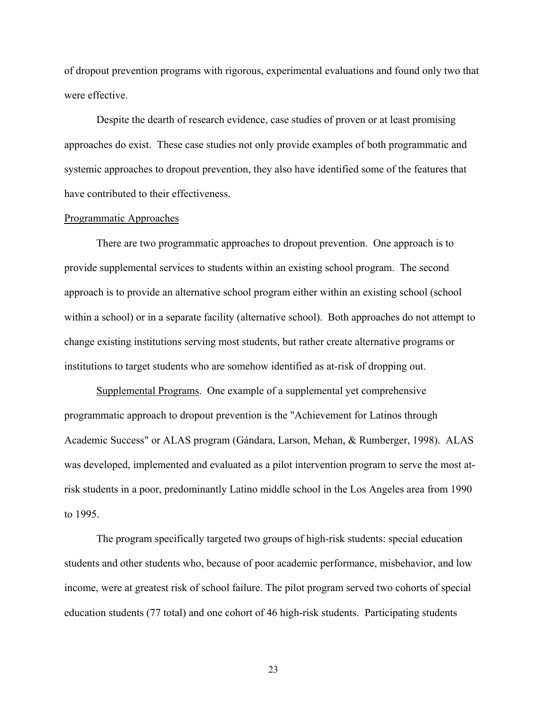of dropout prevention programs with rigorous, experimental evaluations and found only two that were effective.

Despite the dearth of research evidence, case studies of proven or at least promising approaches do exist. These case studies not only provide examples of both programmatic and systemic approaches to dropout prevention, they also have identified some of the features that have contributed to their effectiveness.

#### Programmatic Approaches

There are two programmatic approaches to dropout prevention. One approach is to provide supplemental services to students within an existing school program. The second approach is to provide an alternative school program either within an existing school (school within a school) or in a separate facility (alternative school). Both approaches do not attempt to change existing institutions serving most students, but rather create alternative programs or institutions to target students who are somehow identified as at-risk of dropping out.

Supplemental Programs. One example of a supplemental yet comprehensive programmatic approach to dropout prevention is the "Achievement for Latinos through Academic Success" or ALAS program (Gándara, Larson, Mehan, & Rumberger, 1998). ALAS was developed, implemented and evaluated as a pilot intervention program to serve the most atrisk students in a poor, predominantly Latino middle school in the Los Angeles area from 1990 to 1995.

The program specifically targeted two groups of high-risk students: special education students and other students who, because of poor academic performance, misbehavior, and low income, were at greatest risk of school failure. The pilot program served two cohorts of special education students (77 total) and one cohort of 46 high-risk students. Participating students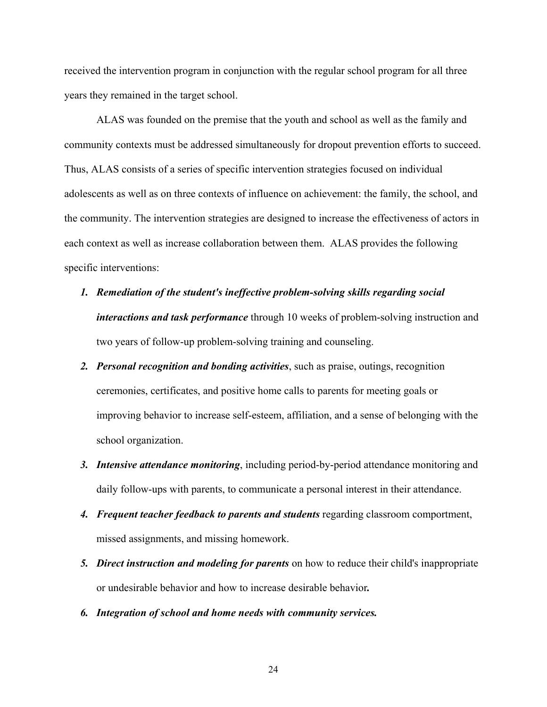received the intervention program in conjunction with the regular school program for all three years they remained in the target school.

ALAS was founded on the premise that the youth and school as well as the family and community contexts must be addressed simultaneously for dropout prevention efforts to succeed. Thus, ALAS consists of a series of specific intervention strategies focused on individual adolescents as well as on three contexts of influence on achievement: the family, the school, and the community. The intervention strategies are designed to increase the effectiveness of actors in each context as well as increase collaboration between them. ALAS provides the following specific interventions:

- *1. Remediation of the student's ineffective problem-solving skills regarding social interactions and task performance* through 10 weeks of problem-solving instruction and two years of follow-up problem-solving training and counseling.
- *2. Personal recognition and bonding activities*, such as praise, outings, recognition ceremonies, certificates, and positive home calls to parents for meeting goals or improving behavior to increase self-esteem, affiliation, and a sense of belonging with the school organization.
- *3. Intensive attendance monitoring*, including period-by-period attendance monitoring and daily follow-ups with parents, to communicate a personal interest in their attendance.
- *4. Frequent teacher feedback to parents and students* regarding classroom comportment, missed assignments, and missing homework.
- *5. Direct instruction and modeling for parents* on how to reduce their child's inappropriate or undesirable behavior and how to increase desirable behavior*.*
- *6. Integration of school and home needs with community services.*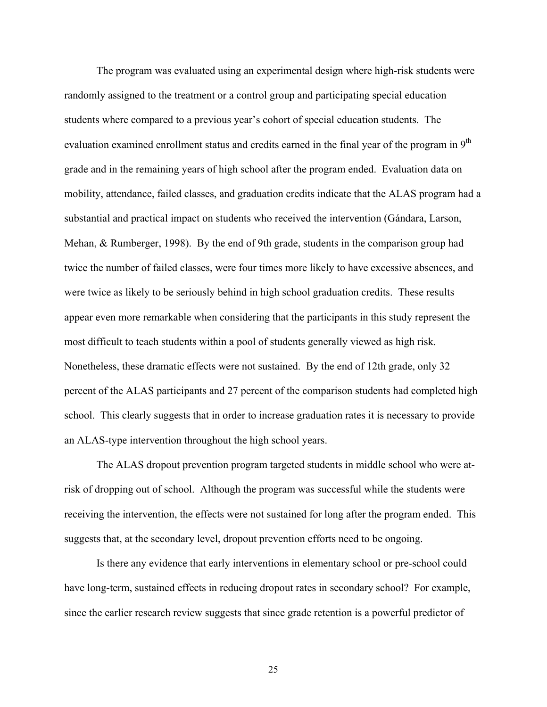The program was evaluated using an experimental design where high-risk students were randomly assigned to the treatment or a control group and participating special education students where compared to a previous year's cohort of special education students. The evaluation examined enrollment status and credits earned in the final year of the program in 9<sup>th</sup> grade and in the remaining years of high school after the program ended. Evaluation data on mobility, attendance, failed classes, and graduation credits indicate that the ALAS program had a substantial and practical impact on students who received the intervention (Gándara, Larson, Mehan, & Rumberger, 1998). By the end of 9th grade, students in the comparison group had twice the number of failed classes, were four times more likely to have excessive absences, and were twice as likely to be seriously behind in high school graduation credits. These results appear even more remarkable when considering that the participants in this study represent the most difficult to teach students within a pool of students generally viewed as high risk. Nonetheless, these dramatic effects were not sustained. By the end of 12th grade, only 32 percent of the ALAS participants and 27 percent of the comparison students had completed high school. This clearly suggests that in order to increase graduation rates it is necessary to provide an ALAS-type intervention throughout the high school years.

The ALAS dropout prevention program targeted students in middle school who were atrisk of dropping out of school. Although the program was successful while the students were receiving the intervention, the effects were not sustained for long after the program ended. This suggests that, at the secondary level, dropout prevention efforts need to be ongoing.

Is there any evidence that early interventions in elementary school or pre-school could have long-term, sustained effects in reducing dropout rates in secondary school? For example, since the earlier research review suggests that since grade retention is a powerful predictor of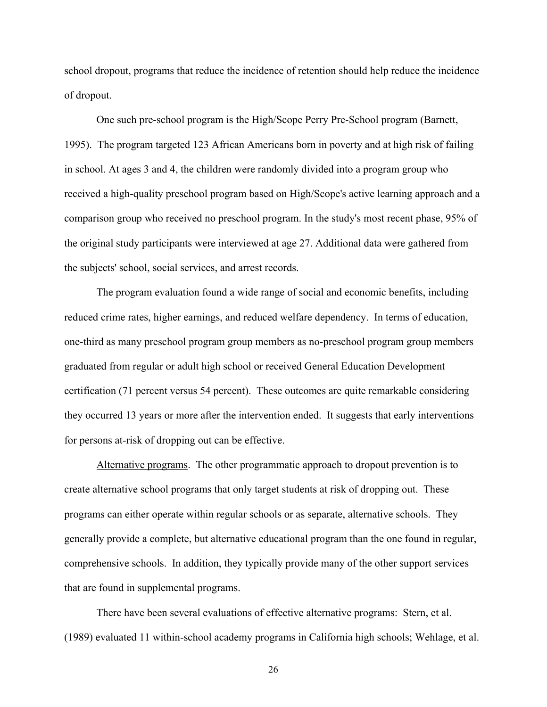school dropout, programs that reduce the incidence of retention should help reduce the incidence of dropout.

One such pre-school program is the High/Scope Perry Pre-School program (Barnett, 1995). The program targeted 123 African Americans born in poverty and at high risk of failing in school. At ages 3 and 4, the children were randomly divided into a program group who received a high-quality preschool program based on High/Scope's active learning approach and a comparison group who received no preschool program. In the study's most recent phase, 95% of the original study participants were interviewed at age 27. Additional data were gathered from the subjects' school, social services, and arrest records.

The program evaluation found a wide range of social and economic benefits, including reduced crime rates, higher earnings, and reduced welfare dependency. In terms of education, one-third as many preschool program group members as no-preschool program group members graduated from regular or adult high school or received General Education Development certification (71 percent versus 54 percent). These outcomes are quite remarkable considering they occurred 13 years or more after the intervention ended. It suggests that early interventions for persons at-risk of dropping out can be effective.

Alternative programs. The other programmatic approach to dropout prevention is to create alternative school programs that only target students at risk of dropping out. These programs can either operate within regular schools or as separate, alternative schools. They generally provide a complete, but alternative educational program than the one found in regular, comprehensive schools. In addition, they typically provide many of the other support services that are found in supplemental programs.

There have been several evaluations of effective alternative programs: Stern, et al. (1989) evaluated 11 within-school academy programs in California high schools; Wehlage, et al.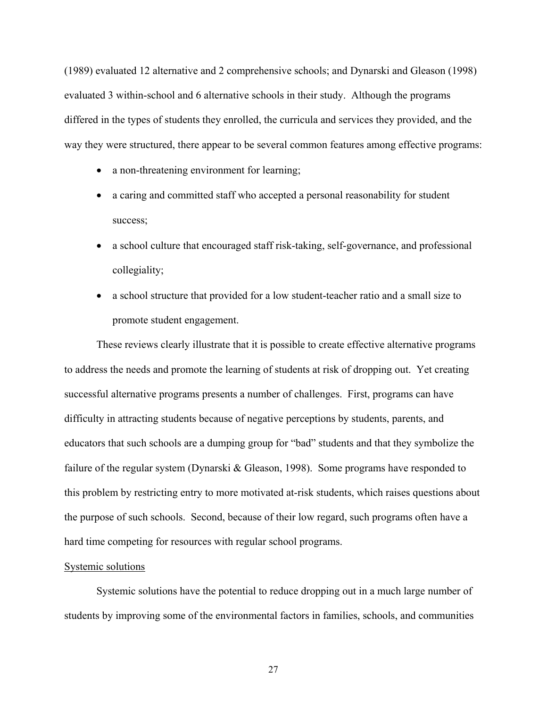(1989) evaluated 12 alternative and 2 comprehensive schools; and Dynarski and Gleason (1998) evaluated 3 within-school and 6 alternative schools in their study. Although the programs differed in the types of students they enrolled, the curricula and services they provided, and the way they were structured, there appear to be several common features among effective programs:

- a non-threatening environment for learning;
- a caring and committed staff who accepted a personal reasonability for student success;
- a school culture that encouraged staff risk-taking, self-governance, and professional collegiality;
- a school structure that provided for a low student-teacher ratio and a small size to promote student engagement.

These reviews clearly illustrate that it is possible to create effective alternative programs to address the needs and promote the learning of students at risk of dropping out. Yet creating successful alternative programs presents a number of challenges. First, programs can have difficulty in attracting students because of negative perceptions by students, parents, and educators that such schools are a dumping group for "bad" students and that they symbolize the failure of the regular system (Dynarski & Gleason, 1998). Some programs have responded to this problem by restricting entry to more motivated at-risk students, which raises questions about the purpose of such schools. Second, because of their low regard, such programs often have a hard time competing for resources with regular school programs.

# Systemic solutions

Systemic solutions have the potential to reduce dropping out in a much large number of students by improving some of the environmental factors in families, schools, and communities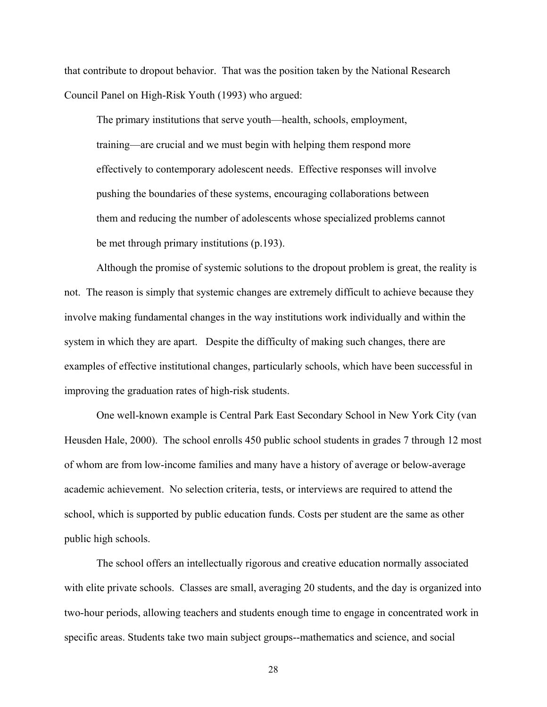that contribute to dropout behavior. That was the position taken by the National Research Council Panel on High-Risk Youth (1993) who argued:

The primary institutions that serve youth—health, schools, employment, training—are crucial and we must begin with helping them respond more effectively to contemporary adolescent needs. Effective responses will involve pushing the boundaries of these systems, encouraging collaborations between them and reducing the number of adolescents whose specialized problems cannot be met through primary institutions (p.193).

Although the promise of systemic solutions to the dropout problem is great, the reality is not. The reason is simply that systemic changes are extremely difficult to achieve because they involve making fundamental changes in the way institutions work individually and within the system in which they are apart. Despite the difficulty of making such changes, there are examples of effective institutional changes, particularly schools, which have been successful in improving the graduation rates of high-risk students.

One well-known example is Central Park East Secondary School in New York City (van Heusden Hale, 2000). The school enrolls 450 public school students in grades 7 through 12 most of whom are from low-income families and many have a history of average or below-average academic achievement. No selection criteria, tests, or interviews are required to attend the school, which is supported by public education funds. Costs per student are the same as other public high schools.

The school offers an intellectually rigorous and creative education normally associated with elite private schools. Classes are small, averaging 20 students, and the day is organized into two-hour periods, allowing teachers and students enough time to engage in concentrated work in specific areas. Students take two main subject groups--mathematics and science, and social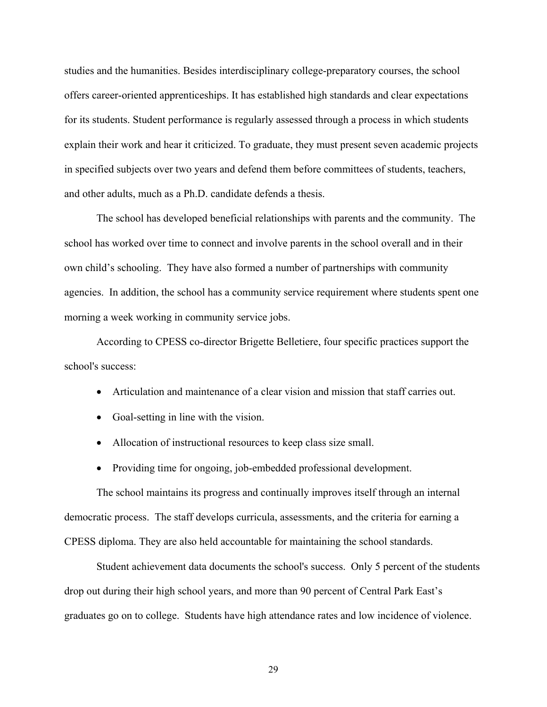studies and the humanities. Besides interdisciplinary college-preparatory courses, the school offers career-oriented apprenticeships. It has established high standards and clear expectations for its students. Student performance is regularly assessed through a process in which students explain their work and hear it criticized. To graduate, they must present seven academic projects in specified subjects over two years and defend them before committees of students, teachers, and other adults, much as a Ph.D. candidate defends a thesis.

The school has developed beneficial relationships with parents and the community. The school has worked over time to connect and involve parents in the school overall and in their own child's schooling. They have also formed a number of partnerships with community agencies. In addition, the school has a community service requirement where students spent one morning a week working in community service jobs.

According to CPESS co-director Brigette Belletiere, four specific practices support the school's success:

- Articulation and maintenance of a clear vision and mission that staff carries out.
- Goal-setting in line with the vision.
- Allocation of instructional resources to keep class size small.
- Providing time for ongoing, job-embedded professional development.

The school maintains its progress and continually improves itself through an internal democratic process. The staff develops curricula, assessments, and the criteria for earning a CPESS diploma. They are also held accountable for maintaining the school standards.

Student achievement data documents the school's success. Only 5 percent of the students drop out during their high school years, and more than 90 percent of Central Park East's graduates go on to college. Students have high attendance rates and low incidence of violence.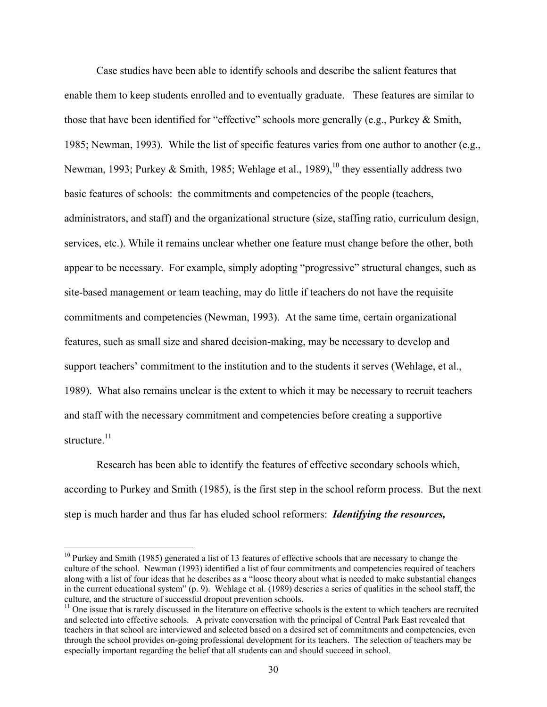Case studies have been able to identify schools and describe the salient features that enable them to keep students enrolled and to eventually graduate. These features are similar to those that have been identified for "effective" schools more generally (e.g., Purkey  $&$  Smith, 1985; Newman, 1993). While the list of specific features varies from one author to another (e.g., Newman, 1993; Purkey & Smith, 1985; Wehlage et al., 1989), <sup>10</sup> they essentially address two basic features of schools: the commitments and competencies of the people (teachers, administrators, and staff) and the organizational structure (size, staffing ratio, curriculum design, services, etc.). While it remains unclear whether one feature must change before the other, both appear to be necessary. For example, simply adopting "progressive" structural changes, such as site-based management or team teaching, may do little if teachers do not have the requisite commitments and competencies (Newman, 1993). At the same time, certain organizational features, such as small size and shared decision-making, may be necessary to develop and support teachers' commitment to the institution and to the students it serves (Wehlage, et al., 1989). What also remains unclear is the extent to which it may be necessary to recruit teachers and staff with the necessary commitment and competencies before creating a supportive structure. $^{11}$ 

Research has been able to identify the features of effective secondary schools which, according to Purkey and Smith (1985), is the first step in the school reform process. But the next step is much harder and thus far has eluded school reformers: *Identifying the resources,* 

 $\overline{a}$ 

<span id="page-31-0"></span> $10$  Purkey and Smith (1985) generated a list of 13 features of effective schools that are necessary to change the culture of the school. Newman (1993) identified a list of four commitments and competencies required of teachers along with a list of four ideas that he describes as a "loose theory about what is needed to make substantial changes in the current educational system" (p. 9). Wehlage et al.  $(1989)$  descries a series of qualities in the school staff, the culture, and the structure of successful dropout prevention schools.

<span id="page-31-1"></span> $11$  One issue that is rarely discussed in the literature on effective schools is the extent to which teachers are recruited and selected into effective schools. A private conversation with the principal of Central Park East revealed that teachers in that school are interviewed and selected based on a desired set of commitments and competencies, even through the school provides on-going professional development for its teachers. The selection of teachers may be especially important regarding the belief that all students can and should succeed in school.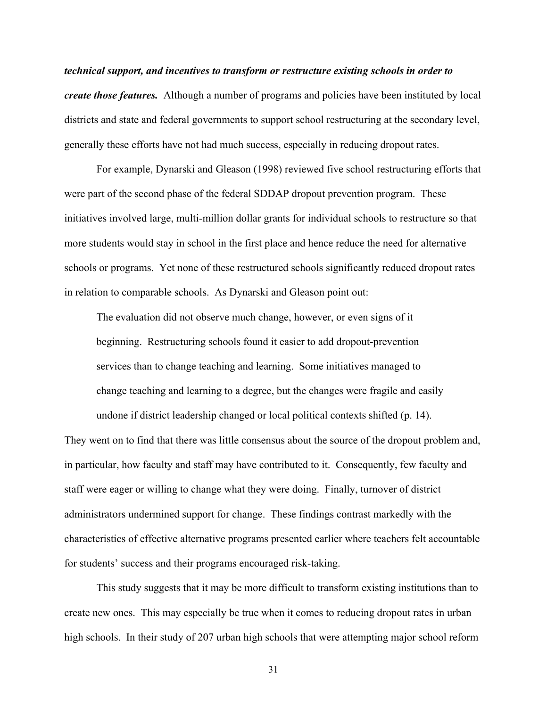*technical support, and incentives to transform or restructure existing schools in order to create those features.*Although a number of programs and policies have been instituted by local districts and state and federal governments to support school restructuring at the secondary level, generally these efforts have not had much success, especially in reducing dropout rates.

For example, Dynarski and Gleason (1998) reviewed five school restructuring efforts that were part of the second phase of the federal SDDAP dropout prevention program. These initiatives involved large, multi-million dollar grants for individual schools to restructure so that more students would stay in school in the first place and hence reduce the need for alternative schools or programs. Yet none of these restructured schools significantly reduced dropout rates in relation to comparable schools. As Dynarski and Gleason point out:

The evaluation did not observe much change, however, or even signs of it beginning. Restructuring schools found it easier to add dropout-prevention services than to change teaching and learning. Some initiatives managed to change teaching and learning to a degree, but the changes were fragile and easily

undone if district leadership changed or local political contexts shifted (p. 14).

They went on to find that there was little consensus about the source of the dropout problem and, in particular, how faculty and staff may have contributed to it. Consequently, few faculty and staff were eager or willing to change what they were doing. Finally, turnover of district administrators undermined support for change. These findings contrast markedly with the characteristics of effective alternative programs presented earlier where teachers felt accountable for students' success and their programs encouraged risk-taking.

This study suggests that it may be more difficult to transform existing institutions than to create new ones. This may especially be true when it comes to reducing dropout rates in urban high schools. In their study of 207 urban high schools that were attempting major school reform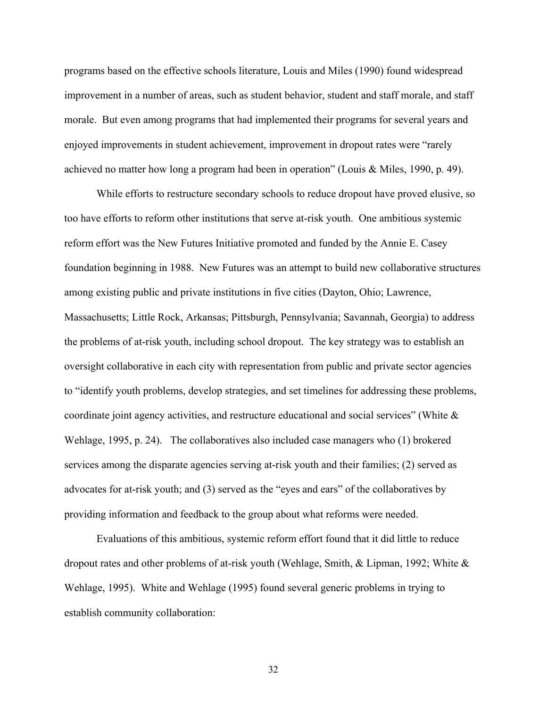programs based on the effective schools literature, Louis and Miles (1990) found widespread improvement in a number of areas, such as student behavior, student and staff morale, and staff morale. But even among programs that had implemented their programs for several years and enjoyed improvements in student achievement, improvement in dropout rates were "rarely achieved no matter how long a program had been in operation" (Louis & Miles, 1990, p. 49).

While efforts to restructure secondary schools to reduce dropout have proved elusive, so too have efforts to reform other institutions that serve at-risk youth. One ambitious systemic reform effort was the New Futures Initiative promoted and funded by the Annie E. Casey foundation beginning in 1988. New Futures was an attempt to build new collaborative structures among existing public and private institutions in five cities (Dayton, Ohio; Lawrence, Massachusetts; Little Rock, Arkansas; Pittsburgh, Pennsylvania; Savannah, Georgia) to address the problems of at-risk youth, including school dropout. The key strategy was to establish an oversight collaborative in each city with representation from public and private sector agencies to "identify youth problems, develop strategies, and set timelines for addressing these problems, coordinate joint agency activities, and restructure educational and social services" (White  $\&$ Wehlage, 1995, p. 24). The collaboratives also included case managers who (1) brokered services among the disparate agencies serving at-risk youth and their families; (2) served as advocates for at-risk youth; and  $(3)$  served as the "eyes and ears" of the collaboratives by providing information and feedback to the group about what reforms were needed.

Evaluations of this ambitious, systemic reform effort found that it did little to reduce dropout rates and other problems of at-risk youth (Wehlage, Smith, & Lipman, 1992; White & Wehlage, 1995). White and Wehlage (1995) found several generic problems in trying to establish community collaboration: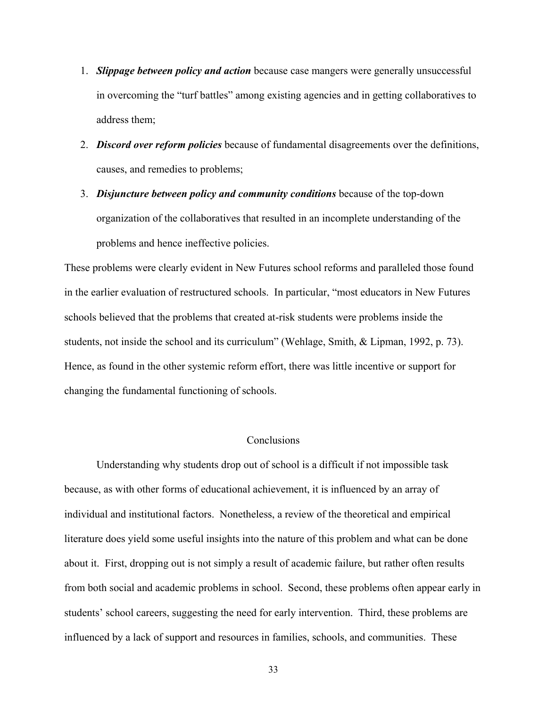- 1. *Slippage between policy and action* because case mangers were generally unsuccessful in overcoming the "turf battles" among existing agencies and in getting collaboratives to address them;
- 2. *Discord over reform policies* because of fundamental disagreements over the definitions, causes, and remedies to problems;
- 3. *Disjuncture between policy and community conditions* because of the top-down organization of the collaboratives that resulted in an incomplete understanding of the problems and hence ineffective policies.

These problems were clearly evident in New Futures school reforms and paralleled those found in the earlier evaluation of restructured schools. In particular, "most educators in New Futures" schools believed that the problems that created at-risk students were problems inside the students, not inside the school and its curriculum" (Wehlage, Smith,  $\&$  Lipman, 1992, p. 73). Hence, as found in the other systemic reform effort, there was little incentive or support for changing the fundamental functioning of schools.

# **Conclusions**

Understanding why students drop out of school is a difficult if not impossible task because, as with other forms of educational achievement, it is influenced by an array of individual and institutional factors. Nonetheless, a review of the theoretical and empirical literature does yield some useful insights into the nature of this problem and what can be done about it. First, dropping out is not simply a result of academic failure, but rather often results from both social and academic problems in school. Second, these problems often appear early in students' school careers, suggesting the need for early intervention. Third, these problems are influenced by a lack of support and resources in families, schools, and communities. These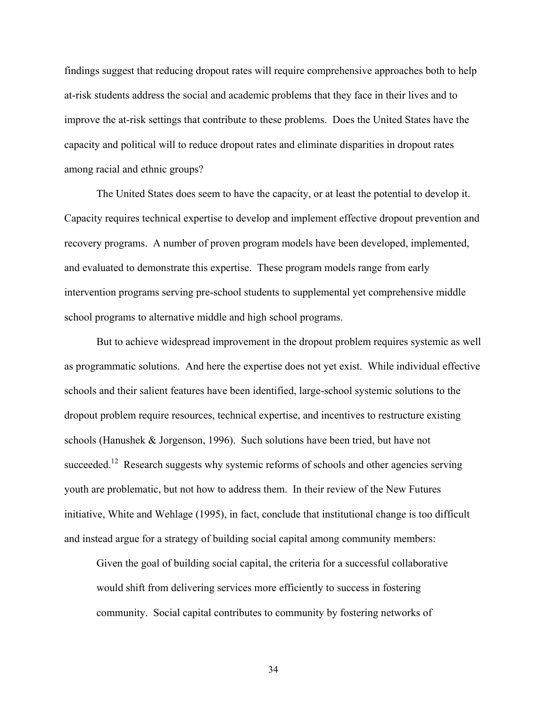findings suggest that reducing dropout rates will require comprehensive approaches both to help at-risk students address the social and academic problems that they face in their lives and to improve the at-risk settings that contribute to these problems. Does the United States have the capacity and political will to reduce dropout rates and eliminate disparities in dropout rates among racial and ethnic groups?

The United States does seem to have the capacity, or at least the potential to develop it. Capacity requires technical expertise to develop and implement effective dropout prevention and recovery programs. A number of proven program models have been developed, implemented, and evaluated to demonstrate this expertise. These program models range from early intervention programs serving pre-school students to supplemental yet comprehensive middle school programs to alternative middle and high school programs.

But to achieve widespread improvement in the dropout problem requires systemic as well as programmatic solutions. And here the expertise does not yet exist. While individual effective schools and their salient features have been identified, large-school systemic solutions to the dropout problem require resources, technical expertise, and incentives to restructure existing schools (Hanushek & Jorgenson, 1996). Such solutions have been tried, but have not succeeded.<sup>12</sup> Research suggests why systemic reforms of schools and other agencies serving youth are problematic, but not how to address them. In their review of the New Futures initiative, White and Wehlage (1995), in fact, conclude that institutional change is too difficult and instead argue for a strategy of building social capital among community members:

<span id="page-35-0"></span>Given the goal of building social capital, the criteria for a successful collaborative would shift from delivering services more efficiently to success in fostering community. Social capital contributes to community by fostering networks of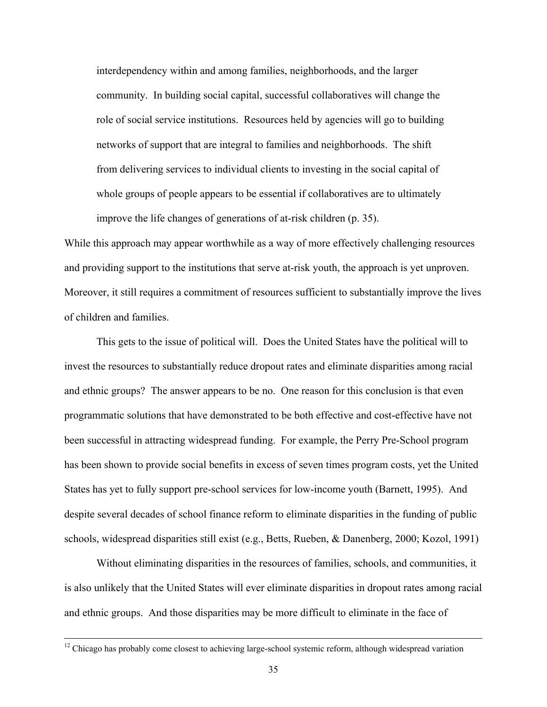interdependency within and among families, neighborhoods, and the larger community. In building social capital, successful collaboratives will change the role of social service institutions. Resources held by agencies will go to building networks of support that are integral to families and neighborhoods. The shift from delivering services to individual clients to investing in the social capital of whole groups of people appears to be essential if collaboratives are to ultimately improve the life changes of generations of at-risk children (p. 35).

While this approach may appear worthwhile as a way of more effectively challenging resources and providing support to the institutions that serve at-risk youth, the approach is yet unproven. Moreover, it still requires a commitment of resources sufficient to substantially improve the lives of children and families.

This gets to the issue of political will. Does the United States have the political will to invest the resources to substantially reduce dropout rates and eliminate disparities among racial and ethnic groups? The answer appears to be no. One reason for this conclusion is that even programmatic solutions that have demonstrated to be both effective and cost-effective have not been successful in attracting widespread funding. For example, the Perry Pre-School program has been shown to provide social benefits in excess of seven times program costs, yet the United States has yet to fully support pre-school services for low-income youth (Barnett, 1995). And despite several decades of school finance reform to eliminate disparities in the funding of public schools, widespread disparities still exist (e.g., Betts, Rueben, & Danenberg, 2000; Kozol, 1991)

Without eliminating disparities in the resources of families, schools, and communities, it is also unlikely that the United States will ever eliminate disparities in dropout rates among racial and ethnic groups. And those disparities may be more difficult to eliminate in the face of

<sup>&</sup>lt;sup>12</sup> Chicago has probably come closest to achieving large-school systemic reform, although widespread variation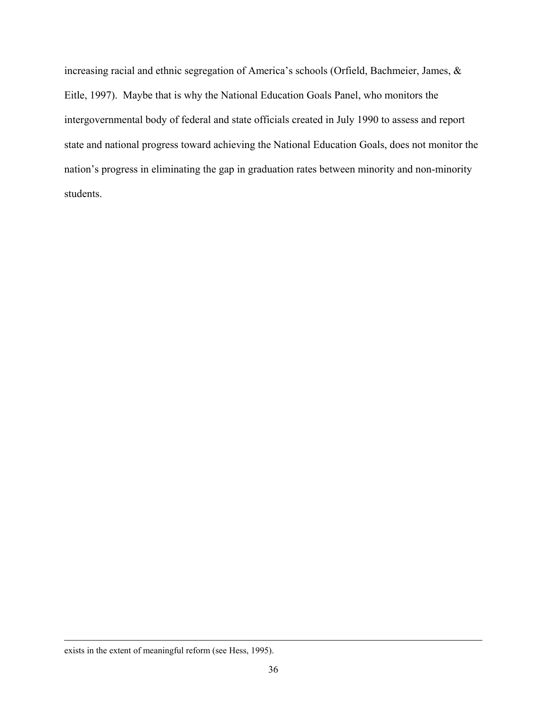increasing racial and ethnic segregation of America's schools (Orfield, Bachmeier, James, & Eitle, 1997). Maybe that is why the National Education Goals Panel, who monitors the intergovernmental body of federal and state officials created in July 1990 to assess and report state and national progress toward achieving the National Education Goals, does not monitor the nation's progress in eliminating the gap in graduation rates between minority and non-minority students.

exists in the extent of meaningful reform (see Hess, 1995).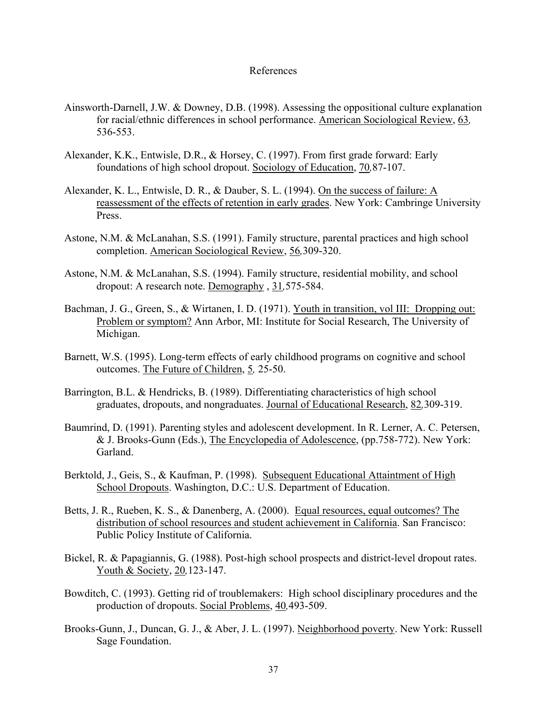## References

- Ainsworth-Darnell, J.W. & Downey, D.B. (1998). Assessing the oppositional culture explanation for racial/ethnic differences in school performance. American Sociological Review, 63*,*  536-553.
- Alexander, K.K., Entwisle, D.R., & Horsey, C. (1997). From first grade forward: Early foundations of high school dropout. Sociology of Education, 70*,*87-107.
- Alexander, K. L., Entwisle, D. R., & Dauber, S. L. (1994). On the success of failure: A reassessment of the effects of retention in early grades. New York: Cambringe University Press.
- Astone, N.M. & McLanahan, S.S. (1991). Family structure, parental practices and high school completion. American Sociological Review, 56*,*309-320.
- Astone, N.M. & McLanahan, S.S. (1994). Family structure, residential mobility, and school dropout: A research note. Demography , 31*,*575-584.
- Bachman, J. G., Green, S., & Wirtanen, I. D. (1971). Youth in transition, vol III: Dropping out: Problem or symptom? Ann Arbor, MI: Institute for Social Research, The University of Michigan.
- Barnett, W.S. (1995). Long-term effects of early childhood programs on cognitive and school outcomes. The Future of Children, 5*,* 25-50.
- Barrington, B.L. & Hendricks, B. (1989). Differentiating characteristics of high school graduates, dropouts, and nongraduates. Journal of Educational Research, 82*,*309-319.
- Baumrind, D. (1991). Parenting styles and adolescent development. In R. Lerner, A. C. Petersen, & J. Brooks-Gunn (Eds.), The Encyclopedia of Adolescence, (pp.758-772). New York: Garland.
- Berktold, J., Geis, S., & Kaufman, P. (1998). Subsequent Educational Attaintment of High School Dropouts. Washington, D.C.: U.S. Department of Education.
- Betts, J. R., Rueben, K. S., & Danenberg, A. (2000). Equal resources, equal outcomes? The distribution of school resources and student achievement in California. San Francisco: Public Policy Institute of California.
- Bickel, R. & Papagiannis, G. (1988). Post-high school prospects and district-level dropout rates. Youth & Society, 20*,*123-147.
- Bowditch, C. (1993). Getting rid of troublemakers: High school disciplinary procedures and the production of dropouts. Social Problems, 40*,*493-509.
- Brooks-Gunn, J., Duncan, G. J., & Aber, J. L. (1997). Neighborhood poverty. New York: Russell Sage Foundation.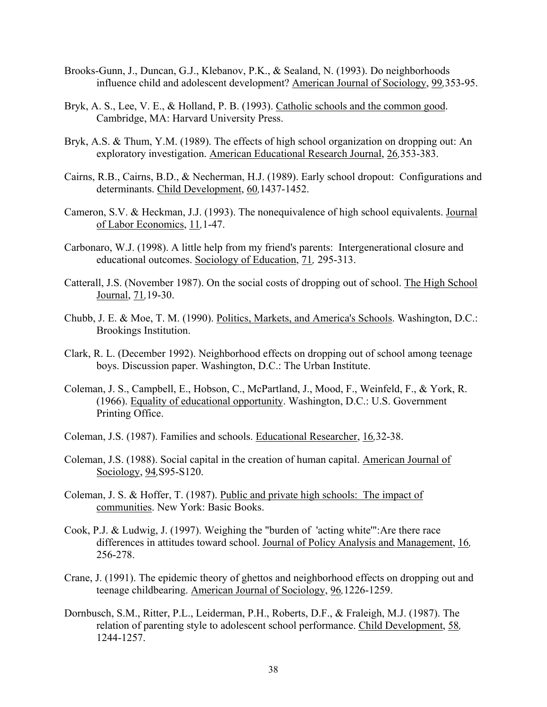- Brooks-Gunn, J., Duncan, G.J., Klebanov, P.K., & Sealand, N. (1993). Do neighborhoods influence child and adolescent development? American Journal of Sociology, 99*,*353-95.
- Bryk, A. S., Lee, V. E., & Holland, P. B. (1993). Catholic schools and the common good. Cambridge, MA: Harvard University Press.
- Bryk, A.S. & Thum, Y.M. (1989). The effects of high school organization on dropping out: An exploratory investigation. American Educational Research Journal, 26*,*353-383.
- Cairns, R.B., Cairns, B.D., & Necherman, H.J. (1989). Early school dropout: Configurations and determinants. Child Development, 60*,*1437-1452.
- Cameron, S.V. & Heckman, J.J. (1993). The nonequivalence of high school equivalents. Journal of Labor Economics, 11*,*1-47.
- Carbonaro, W.J. (1998). A little help from my friend's parents: Intergenerational closure and educational outcomes. Sociology of Education, 71*,* 295-313.
- Catterall, J.S. (November 1987). On the social costs of dropping out of school. The High School Journal, 71*,*19-30.
- Chubb, J. E. & Moe, T. M. (1990). Politics, Markets, and America's Schools. Washington, D.C.: Brookings Institution.
- Clark, R. L. (December 1992). Neighborhood effects on dropping out of school among teenage boys. Discussion paper. Washington, D.C.: The Urban Institute.
- Coleman, J. S., Campbell, E., Hobson, C., McPartland, J., Mood, F., Weinfeld, F., & York, R. (1966). Equality of educational opportunity. Washington, D.C.: U.S. Government Printing Office.
- Coleman, J.S. (1987). Families and schools. Educational Researcher, 16*,*32-38.
- Coleman, J.S. (1988). Social capital in the creation of human capital. American Journal of Sociology, 94*,*S95-S120.
- Coleman, J. S. & Hoffer, T. (1987). Public and private high schools: The impact of communities. New York: Basic Books.
- Cook, P.J. & Ludwig, J. (1997). Weighing the "burden of 'acting white'":Are there race differences in attitudes toward school. Journal of Policy Analysis and Management, 16*,*  256-278.
- Crane, J. (1991). The epidemic theory of ghettos and neighborhood effects on dropping out and teenage childbearing. American Journal of Sociology, 96*,*1226-1259.
- Dornbusch, S.M., Ritter, P.L., Leiderman, P.H., Roberts, D.F., & Fraleigh, M.J. (1987). The relation of parenting style to adolescent school performance. Child Development, 58*,*  1244-1257.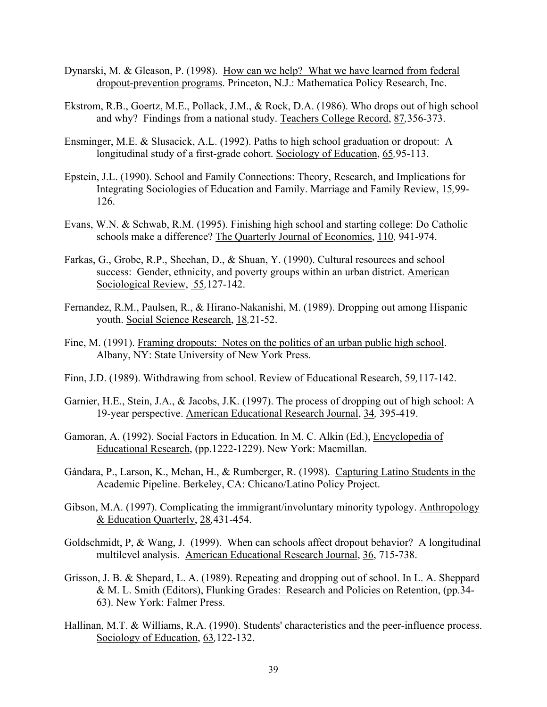- Dynarski, M. & Gleason, P. (1998). How can we help? What we have learned from federal dropout-prevention programs. Princeton, N.J.: Mathematica Policy Research, Inc.
- Ekstrom, R.B., Goertz, M.E., Pollack, J.M., & Rock, D.A. (1986). Who drops out of high school and why? Findings from a national study. Teachers College Record, 87*,*356-373.
- Ensminger, M.E. & Slusacick, A.L. (1992). Paths to high school graduation or dropout: A longitudinal study of a first-grade cohort. Sociology of Education, 65*,*95-113.
- Epstein, J.L. (1990). School and Family Connections: Theory, Research, and Implications for Integrating Sociologies of Education and Family. Marriage and Family Review, 15*,*99- 126.
- Evans, W.N. & Schwab, R.M. (1995). Finishing high school and starting college: Do Catholic schools make a difference? The Quarterly Journal of Economics, 110*,* 941-974.
- Farkas, G., Grobe, R.P., Sheehan, D., & Shuan, Y. (1990). Cultural resources and school success: Gender, ethnicity, and poverty groups within an urban district. American Sociological Review, 55*,*127-142.
- Fernandez, R.M., Paulsen, R., & Hirano-Nakanishi, M. (1989). Dropping out among Hispanic youth. Social Science Research, 18*,*21-52.
- Fine, M. (1991). Framing dropouts: Notes on the politics of an urban public high school. Albany, NY: State University of New York Press.
- Finn, J.D. (1989). Withdrawing from school. Review of Educational Research, 59*,*117-142.
- Garnier, H.E., Stein, J.A., & Jacobs, J.K. (1997). The process of dropping out of high school: A 19-year perspective. American Educational Research Journal, 34*,* 395-419.
- Gamoran, A. (1992). Social Factors in Education. In M. C. Alkin (Ed.), Encyclopedia of Educational Research, (pp.1222-1229). New York: Macmillan.
- Gándara, P., Larson, K., Mehan, H., & Rumberger, R. (1998). Capturing Latino Students in the Academic Pipeline. Berkeley, CA: Chicano/Latino Policy Project.
- Gibson, M.A. (1997). Complicating the immigrant/involuntary minority typology. Anthropology & Education Quarterly, 28*,*431-454.
- Goldschmidt, P, & Wang, J. (1999). When can schools affect dropout behavior? A longitudinal multilevel analysis. American Educational Research Journal, 36, 715-738.
- Grisson, J. B. & Shepard, L. A. (1989). Repeating and dropping out of school. In L. A. Sheppard & M. L. Smith (Editors), Flunking Grades: Research and Policies on Retention, (pp.34- 63). New York: Falmer Press.
- Hallinan, M.T. & Williams, R.A. (1990). Students' characteristics and the peer-influence process. Sociology of Education, 63*,*122-132.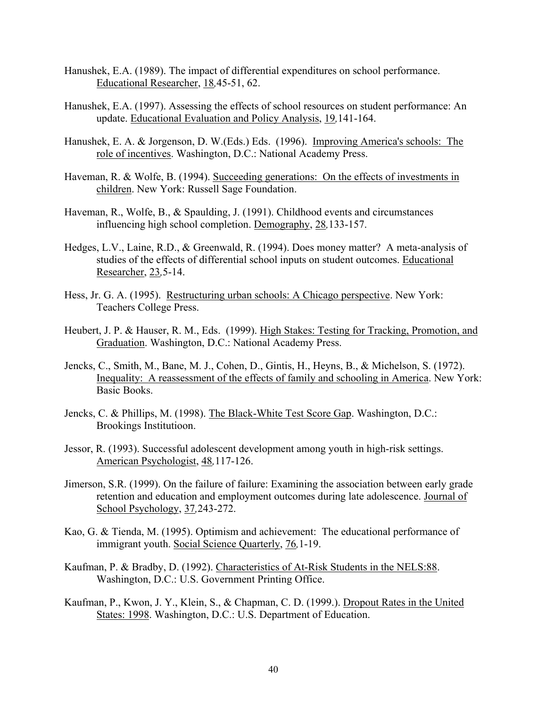- Hanushek, E.A. (1989). The impact of differential expenditures on school performance. Educational Researcher, 18*,*45-51, 62.
- Hanushek, E.A. (1997). Assessing the effects of school resources on student performance: An update. Educational Evaluation and Policy Analysis, 19*,*141-164.
- Hanushek, E. A. & Jorgenson, D. W.(Eds.) Eds. (1996). Improving America's schools: The role of incentives. Washington, D.C.: National Academy Press.
- Haveman, R. & Wolfe, B. (1994). Succeeding generations: On the effects of investments in children. New York: Russell Sage Foundation.
- Haveman, R., Wolfe, B., & Spaulding, J. (1991). Childhood events and circumstances influencing high school completion. Demography, 28*,*133-157.
- Hedges, L.V., Laine, R.D., & Greenwald, R. (1994). Does money matter? A meta-analysis of studies of the effects of differential school inputs on student outcomes. Educational Researcher, 23*,*5-14.
- Hess, Jr. G. A. (1995). Restructuring urban schools: A Chicago perspective. New York: Teachers College Press.
- Heubert, J. P. & Hauser, R. M., Eds. (1999). High Stakes: Testing for Tracking, Promotion, and Graduation. Washington, D.C.: National Academy Press.
- Jencks, C., Smith, M., Bane, M. J., Cohen, D., Gintis, H., Heyns, B., & Michelson, S. (1972). Inequality: A reassessment of the effects of family and schooling in America. New York: Basic Books.
- Jencks, C. & Phillips, M. (1998). The Black-White Test Score Gap. Washington, D.C.: Brookings Institutioon.
- Jessor, R. (1993). Successful adolescent development among youth in high-risk settings. American Psychologist, 48*,*117-126.
- Jimerson, S.R. (1999). On the failure of failure: Examining the association between early grade retention and education and employment outcomes during late adolescence. Journal of School Psychology, 37*,*243-272.
- Kao, G. & Tienda, M. (1995). Optimism and achievement: The educational performance of immigrant youth. Social Science Quarterly, 76*,*1-19.
- Kaufman, P. & Bradby, D. (1992). Characteristics of At-Risk Students in the NELS:88. Washington, D.C.: U.S. Government Printing Office.
- Kaufman, P., Kwon, J. Y., Klein, S., & Chapman, C. D. (1999.). Dropout Rates in the United States: 1998. Washington, D.C.: U.S. Department of Education.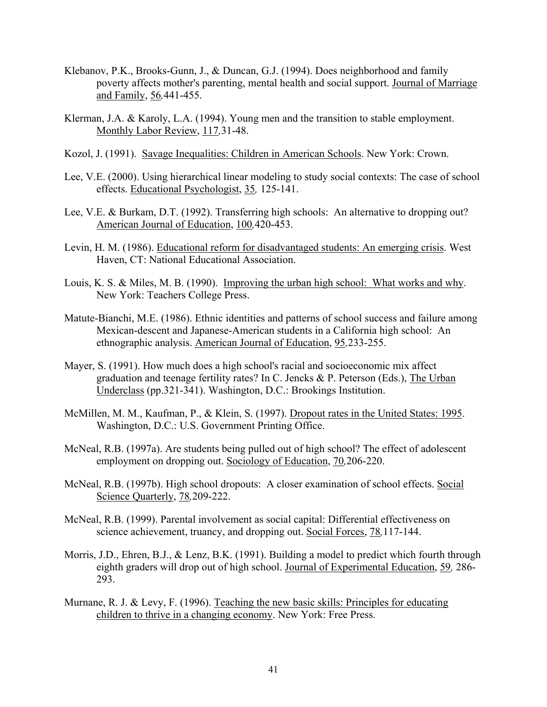- Klebanov, P.K., Brooks-Gunn, J., & Duncan, G.J. (1994). Does neighborhood and family poverty affects mother's parenting, mental health and social support. Journal of Marriage and Family, 56*,*441-455.
- Klerman, J.A. & Karoly, L.A. (1994). Young men and the transition to stable employment. Monthly Labor Review, 117*,*31-48.
- Kozol, J. (1991). Savage Inequalities: Children in American Schools. New York: Crown.
- Lee, V.E. (2000). Using hierarchical linear modeling to study social contexts: The case of school effects. Educational Psychologist, 35*,* 125-141.
- Lee, V.E. & Burkam, D.T. (1992). Transferring high schools: An alternative to dropping out? American Journal of Education, 100*,*420-453.
- Levin, H. M. (1986). Educational reform for disadvantaged students: An emerging crisis. West Haven, CT: National Educational Association.
- Louis, K. S. & Miles, M. B. (1990). Improving the urban high school: What works and why. New York: Teachers College Press.
- Matute-Bianchi, M.E. (1986). Ethnic identities and patterns of school success and failure among Mexican-descent and Japanese-American students in a California high school: An ethnographic analysis. American Journal of Education, 95*,*233-255.
- Mayer, S. (1991). How much does a high school's racial and socioeconomic mix affect graduation and teenage fertility rates? In C. Jencks & P. Peterson (Eds.), The Urban Underclass (pp.321-341). Washington, D.C.: Brookings Institution.
- McMillen, M. M., Kaufman, P., & Klein, S. (1997). Dropout rates in the United States: 1995. Washington, D.C.: U.S. Government Printing Office.
- McNeal, R.B. (1997a). Are students being pulled out of high school? The effect of adolescent employment on dropping out. Sociology of Education, 70*,*206-220.
- McNeal, R.B. (1997b). High school dropouts: A closer examination of school effects. Social Science Quarterly, 78*,*209-222.
- McNeal, R.B. (1999). Parental involvement as social capital: Differential effectiveness on science achievement, truancy, and dropping out. Social Forces, 78*,*117-144.
- Morris, J.D., Ehren, B.J., & Lenz, B.K. (1991). Building a model to predict which fourth through eighth graders will drop out of high school. Journal of Experimental Education, 59*,* 286- 293.
- Murnane, R. J. & Levy, F. (1996). Teaching the new basic skills: Principles for educating children to thrive in a changing economy. New York: Free Press.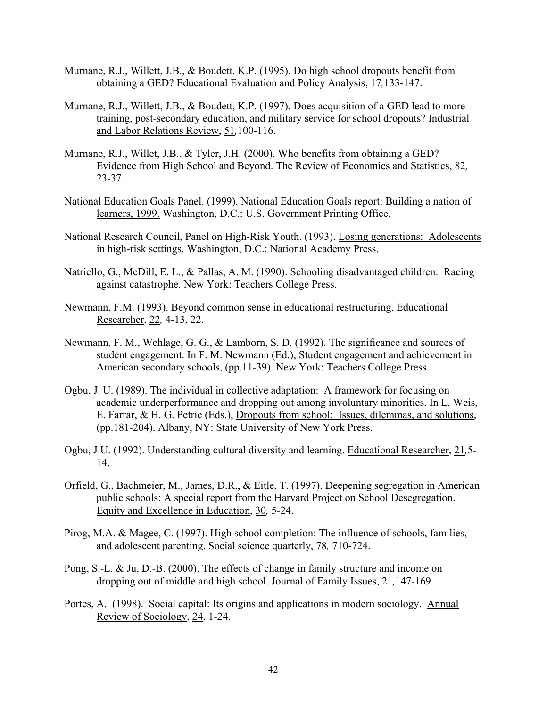- Murnane, R.J., Willett, J.B., & Boudett, K.P. (1995). Do high school dropouts benefit from obtaining a GED? Educational Evaluation and Policy Analysis, 17*,*133-147.
- Murnane, R.J., Willett, J.B., & Boudett, K.P. (1997). Does acquisition of a GED lead to more training, post-secondary education, and military service for school dropouts? Industrial and Labor Relations Review, 51*,*100-116.
- Murnane, R.J., Willet, J.B., & Tyler, J.H. (2000). Who benefits from obtaining a GED? Evidence from High School and Beyond. The Review of Economics and Statistics, 82*,*  23-37.
- National Education Goals Panel. (1999). National Education Goals report: Building a nation of learners, 1999. Washington, D.C.: U.S. Government Printing Office.
- National Research Council, Panel on High-Risk Youth. (1993). Losing generations: Adolescents in high-risk settings. Washington, D.C.: National Academy Press.
- Natriello, G., McDill, E. L., & Pallas, A. M. (1990). Schooling disadvantaged children: Racing against catastrophe. New York: Teachers College Press.
- Newmann, F.M. (1993). Beyond common sense in educational restructuring. Educational Researcher, 22*,* 4-13, 22.
- Newmann, F. M., Wehlage, G. G., & Lamborn, S. D. (1992). The significance and sources of student engagement. In F. M. Newmann (Ed.), Student engagement and achievement in American secondary schools, (pp.11-39). New York: Teachers College Press.
- Ogbu, J. U. (1989). The individual in collective adaptation: A framework for focusing on academic underperformance and dropping out among involuntary minorities. In L. Weis, E. Farrar, & H. G. Petrie (Eds.), Dropouts from school: Issues, dilemmas, and solutions, (pp.181-204). Albany, NY: State University of New York Press.
- Ogbu, J.U. (1992). Understanding cultural diversity and learning. Educational Researcher, 21*,*5- 14.
- Orfield, G., Bachmeier, M., James, D.R., & Eitle, T. (1997). Deepening segregation in American public schools: A special report from the Harvard Project on School Desegregation. Equity and Excellence in Education, 30*,* 5-24.
- Pirog, M.A. & Magee, C. (1997). High school completion: The influence of schools, families, and adolescent parenting. Social science quarterly, 78*,* 710-724.
- Pong, S.-L. & Ju, D.-B. (2000). The effects of change in family structure and income on dropping out of middle and high school. Journal of Family Issues, 21*,*147-169.
- Portes, A. (1998). Social capital: Its origins and applications in modern sociology. Annual Review of Sociology, 24, 1-24.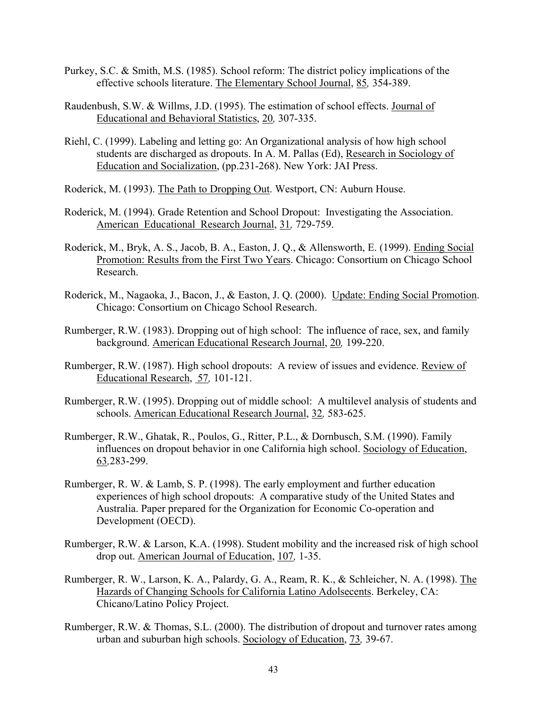- Purkey, S.C. & Smith, M.S. (1985). School reform: The district policy implications of the effective schools literature. The Elementary School Journal, 85*,* 354-389.
- Raudenbush, S.W. & Willms, J.D. (1995). The estimation of school effects. Journal of Educational and Behavioral Statistics, 20*,* 307-335.
- Riehl, C. (1999). Labeling and letting go: An Organizational analysis of how high school students are discharged as dropouts. In A. M. Pallas (Ed), Research in Sociology of Education and Socialization, (pp.231-268). New York: JAI Press.

Roderick, M. (1993). The Path to Dropping Out. Westport, CN: Auburn House.

- Roderick, M. (1994). Grade Retention and School Dropout: Investigating the Association. American Educational Research Journal, 31*,* 729-759.
- Roderick, M., Bryk, A. S., Jacob, B. A., Easton, J. Q., & Allensworth, E. (1999). Ending Social Promotion: Results from the First Two Years. Chicago: Consortium on Chicago School Research.
- Roderick, M., Nagaoka, J., Bacon, J., & Easton, J. Q. (2000). Update: Ending Social Promotion. Chicago: Consortium on Chicago School Research.
- Rumberger, R.W. (1983). Dropping out of high school: The influence of race, sex, and family background. American Educational Research Journal, 20*,* 199-220.
- Rumberger, R.W. (1987). High school dropouts: A review of issues and evidence. Review of Educational Research, 57*,* 101-121.
- Rumberger, R.W. (1995). Dropping out of middle school: A multilevel analysis of students and schools. American Educational Research Journal, 32*,* 583-625.
- Rumberger, R.W., Ghatak, R., Poulos, G., Ritter, P.L., & Dornbusch, S.M. (1990). Family influences on dropout behavior in one California high school. Sociology of Education, 63*,*283-299.
- Rumberger, R. W. & Lamb, S. P. (1998). The early employment and further education experiences of high school dropouts: A comparative study of the United States and Australia. Paper prepared for the Organization for Economic Co-operation and Development (OECD).
- Rumberger, R.W. & Larson, K.A. (1998). Student mobility and the increased risk of high school drop out. American Journal of Education, 107*,* 1-35.
- Rumberger, R. W., Larson, K. A., Palardy, G. A., Ream, R. K., & Schleicher, N. A. (1998). The Hazards of Changing Schools for California Latino Adolsecents. Berkeley, CA: Chicano/Latino Policy Project.
- Rumberger, R.W. & Thomas, S.L. (2000). The distribution of dropout and turnover rates among urban and suburban high schools. Sociology of Education, 73*,* 39-67.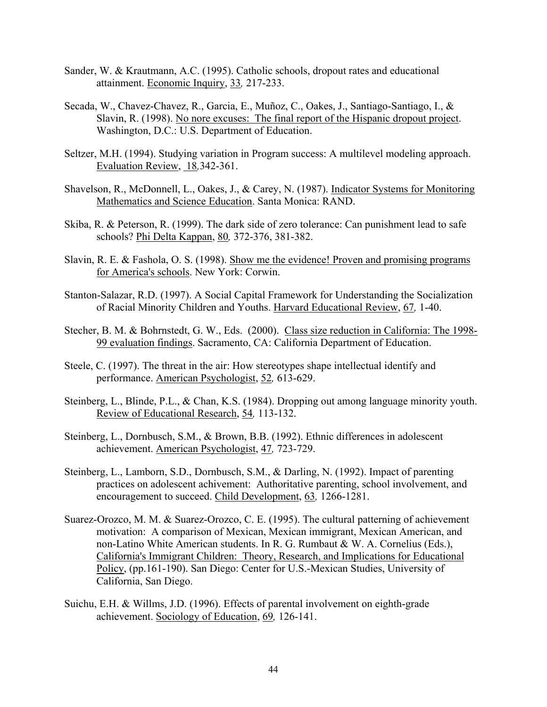- Sander, W. & Krautmann, A.C. (1995). Catholic schools, dropout rates and educational attainment. Economic Inquiry, 33*,* 217-233.
- Secada, W., Chavez-Chavez, R., Garcia, E., Muñoz, C., Oakes, J., Santiago-Santiago, I., & Slavin, R. (1998). No nore excuses: The final report of the Hispanic dropout project. Washington, D.C.: U.S. Department of Education.
- Seltzer, M.H. (1994). Studying variation in Program success: A multilevel modeling approach. Evaluation Review, 18*,*342-361.
- Shavelson, R., McDonnell, L., Oakes, J., & Carey, N. (1987). Indicator Systems for Monitoring Mathematics and Science Education. Santa Monica: RAND.
- Skiba, R. & Peterson, R. (1999). The dark side of zero tolerance: Can punishment lead to safe schools? Phi Delta Kappan, 80*,* 372-376, 381-382.
- Slavin, R. E. & Fashola, O. S. (1998). Show me the evidence! Proven and promising programs for America's schools. New York: Corwin.
- Stanton-Salazar, R.D. (1997). A Social Capital Framework for Understanding the Socialization of Racial Minority Children and Youths. Harvard Educational Review, 67*,* 1-40.
- Stecher, B. M. & Bohrnstedt, G. W., Eds. (2000). Class size reduction in California: The 1998- 99 evaluation findings. Sacramento, CA: California Department of Education.
- Steele, C. (1997). The threat in the air: How stereotypes shape intellectual identify and performance. American Psychologist, 52*,* 613-629.
- Steinberg, L., Blinde, P.L., & Chan, K.S. (1984). Dropping out among language minority youth. Review of Educational Research, 54*,* 113-132.
- Steinberg, L., Dornbusch, S.M., & Brown, B.B. (1992). Ethnic differences in adolescent achievement. American Psychologist, 47*,* 723-729.
- Steinberg, L., Lamborn, S.D., Dornbusch, S.M., & Darling, N. (1992). Impact of parenting practices on adolescent achivement: Authoritative parenting, school involvement, and encouragement to succeed. Child Development, 63*,* 1266-1281.
- Suarez-Orozco, M. M. & Suarez-Orozco, C. E. (1995). The cultural patterning of achievement motivation: A comparison of Mexican, Mexican immigrant, Mexican American, and non-Latino White American students. In R. G. Rumbaut & W. A. Cornelius (Eds.), California's Immigrant Children: Theory, Research, and Implications for Educational Policy, (pp.161-190). San Diego: Center for U.S.-Mexican Studies, University of California, San Diego.
- Suichu, E.H. & Willms, J.D. (1996). Effects of parental involvement on eighth-grade achievement. Sociology of Education, 69*,* 126-141.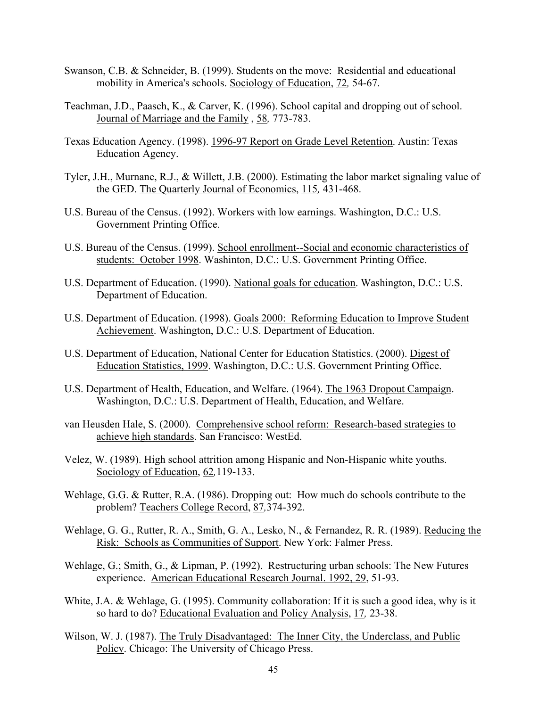- Swanson, C.B. & Schneider, B. (1999). Students on the move: Residential and educational mobility in America's schools. Sociology of Education, 72*,* 54-67.
- Teachman, J.D., Paasch, K., & Carver, K. (1996). School capital and dropping out of school. Journal of Marriage and the Family , 58*,* 773-783.
- Texas Education Agency. (1998). 1996-97 Report on Grade Level Retention. Austin: Texas Education Agency.
- Tyler, J.H., Murnane, R.J., & Willett, J.B. (2000). Estimating the labor market signaling value of the GED. The Quarterly Journal of Economics, 115*,* 431-468.
- U.S. Bureau of the Census. (1992). Workers with low earnings. Washington, D.C.: U.S. Government Printing Office.
- U.S. Bureau of the Census. (1999). School enrollment--Social and economic characteristics of students: October 1998. Washinton, D.C.: U.S. Government Printing Office.
- U.S. Department of Education. (1990). National goals for education. Washington, D.C.: U.S. Department of Education.
- U.S. Department of Education. (1998). Goals 2000: Reforming Education to Improve Student Achievement. Washington, D.C.: U.S. Department of Education.
- U.S. Department of Education, National Center for Education Statistics. (2000). Digest of Education Statistics, 1999. Washington, D.C.: U.S. Government Printing Office.
- U.S. Department of Health, Education, and Welfare. (1964). The 1963 Dropout Campaign. Washington, D.C.: U.S. Department of Health, Education, and Welfare.
- van Heusden Hale, S. (2000). Comprehensive school reform: Research-based strategies to achieve high standards. San Francisco: WestEd.
- Velez, W. (1989). High school attrition among Hispanic and Non-Hispanic white youths. Sociology of Education, 62*,*119-133.
- Wehlage, G.G. & Rutter, R.A. (1986). Dropping out: How much do schools contribute to the problem? Teachers College Record, 87*,*374-392.
- Wehlage, G. G., Rutter, R. A., Smith, G. A., Lesko, N., & Fernandez, R. R. (1989). Reducing the Risk: Schools as Communities of Support. New York: Falmer Press.
- Wehlage, G.; Smith, G., & Lipman, P. (1992). Restructuring urban schools: The New Futures experience. American Educational Research Journal. 1992, 29, 51-93.
- White, J.A. & Wehlage, G. (1995). Community collaboration: If it is such a good idea, why is it so hard to do? Educational Evaluation and Policy Analysis, 17*,* 23-38.
- Wilson, W. J. (1987). The Truly Disadvantaged: The Inner City, the Underclass, and Public Policy. Chicago: The University of Chicago Press.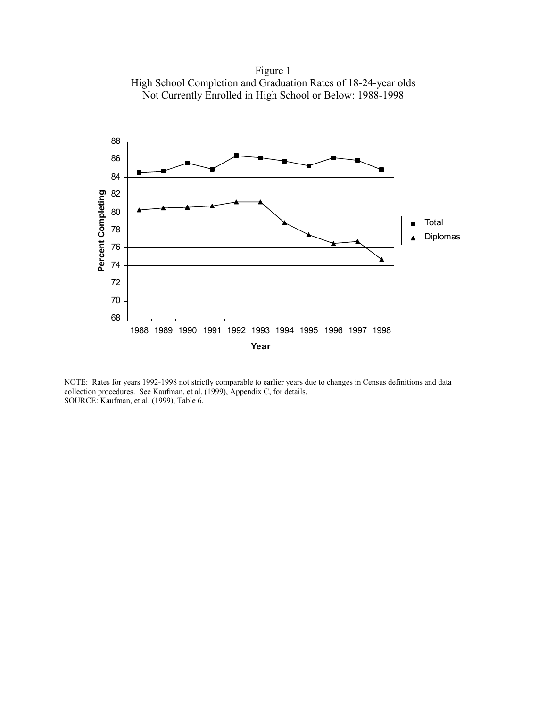Figure 1 High School Completion and Graduation Rates of 18-24-year olds Not Currently Enrolled in High School or Below: 1988-1998



NOTE: Rates for years 1992-1998 not strictly comparable to earlier years due to changes in Census definitions and data collection procedures. See Kaufman, et al. (1999), Appendix C, for details. SOURCE: Kaufman, et al. (1999), Table 6.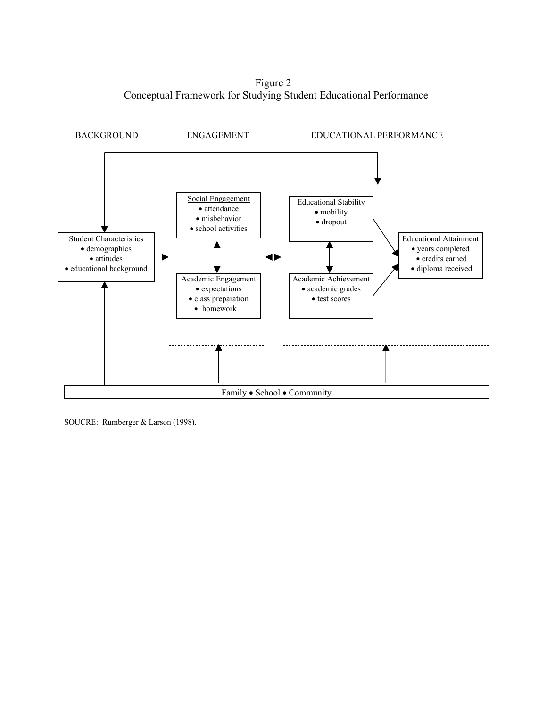Figure 2 Conceptual Framework for Studying Student Educational Performance



SOUCRE: Rumberger & Larson (1998).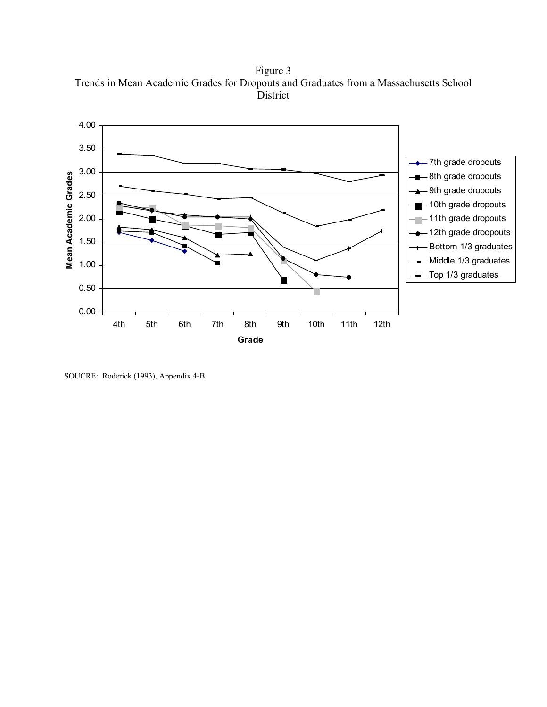Figure 3 Trends in Mean Academic Grades for Dropouts and Graduates from a Massachusetts School District



SOUCRE: Roderick (1993), Appendix 4-B.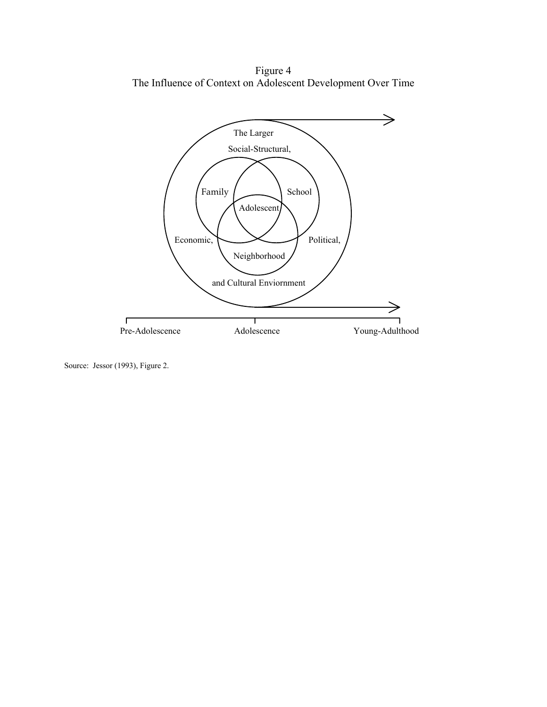Figure 4 The Influence of Context on Adolescent Development Over Time



Source: Jessor (1993), Figure 2.